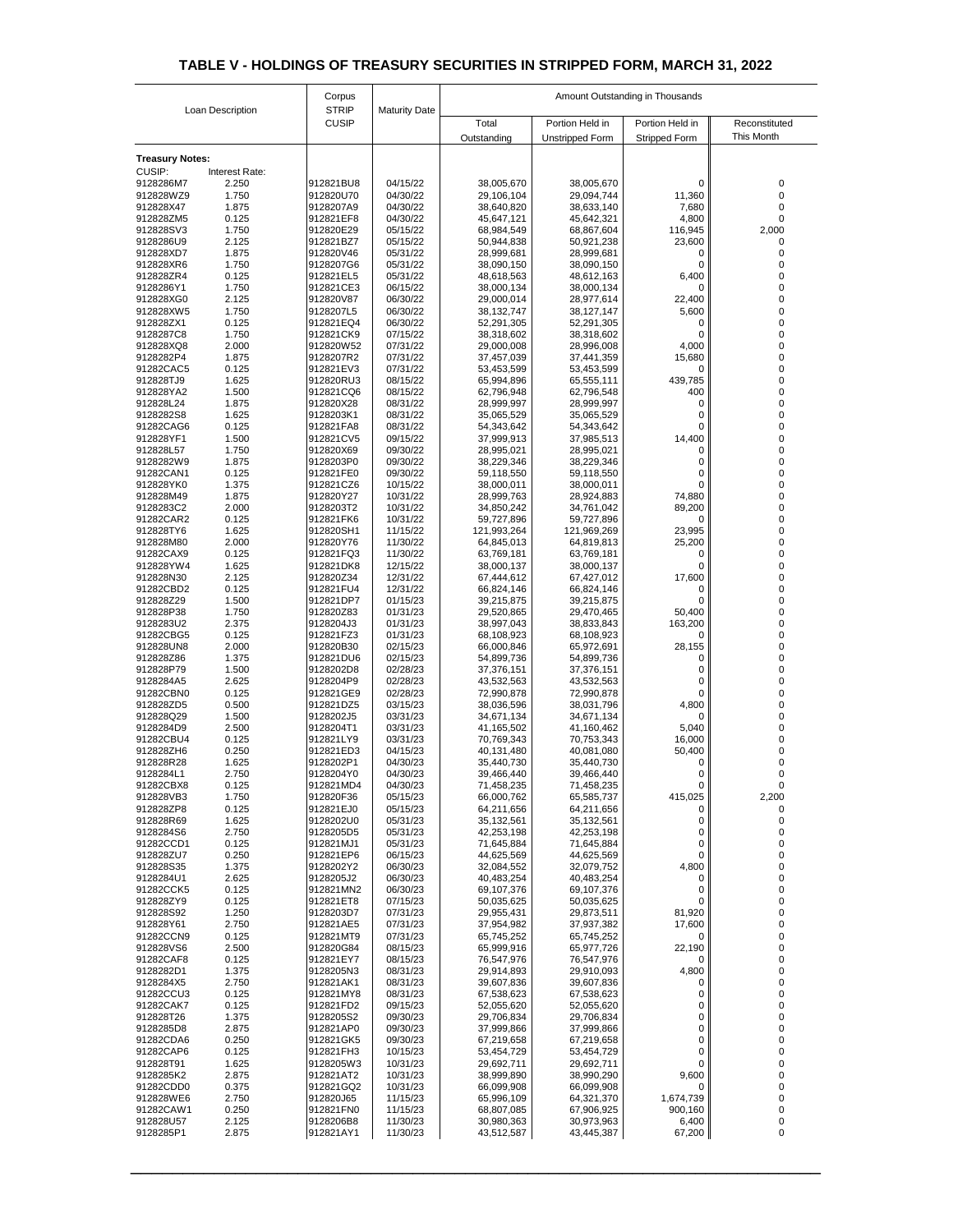| Loan Description       |                | Corpus                       |                      | Amount Outstanding in Thousands |                          |                      |                     |  |
|------------------------|----------------|------------------------------|----------------------|---------------------------------|--------------------------|----------------------|---------------------|--|
|                        |                | <b>STRIP</b><br><b>CUSIP</b> | <b>Maturity Date</b> | Total                           | Portion Held in          | Portion Held in      | Reconstituted       |  |
|                        |                |                              |                      | Outstanding                     | <b>Unstripped Form</b>   | <b>Stripped Form</b> | <b>This Month</b>   |  |
| <b>Treasury Notes:</b> |                |                              |                      |                                 |                          |                      |                     |  |
| <b>CUSIP:</b>          | Interest Rate: |                              |                      |                                 |                          |                      |                     |  |
| 9128286M7<br>912828WZ9 | 2.250<br>1.750 | 912821BU8<br>912820U70       | 04/15/22<br>04/30/22 | 38,005,670<br>29,106,104        | 38,005,670<br>29,094,744 | 0<br>11,360          | $\overline{0}$<br>0 |  |
| 912828X47              | 1.875          | 9128207A9                    | 04/30/22             | 38,640,820                      | 38,633,140               | 7,680                | 0                   |  |
| 912828ZM5              | 0.125          | 912821EF8                    | 04/30/22             | 45,647,121                      | 45,642,321               | 4,800                | $\Omega$            |  |
| 912828SV3              | 1.750          | 912820E29                    | 05/15/22             | 68,984,549                      | 68,867,604               | 116,945              | 2,000               |  |
| 9128286U9<br>912828XD7 | 2.125<br>1.875 | 912821BZ7<br>912820V46       | 05/15/22<br>05/31/22 | 50,944,838<br>28,999,681        | 50,921,238<br>28,999,681 | 23,600<br>0          | $\Omega$            |  |
| 912828XR6              | 1.750          | 9128207G6                    | 05/31/22             | 38,090,150                      | 38,090,150               | 0                    |                     |  |
| 912828ZR4              | 0.125          | 912821EL5                    | 05/31/22             | 48,618,563                      | 48,612,163               | 6,400                | 0                   |  |
| 9128286Y1<br>912828XG0 | 1.750<br>2.125 | 912821CE3<br>912820V87       | 06/15/22<br>06/30/22 | 38,000,134<br>29,000,014        | 38,000,134<br>28,977,614 | 0<br>22,400          | 0<br>$\overline{0}$ |  |
| 912828XW5              | 1.750          | 9128207L5                    | 06/30/22             | 38, 132, 747                    | 38,127,147               | 5,600                | 0                   |  |
| 912828ZX1              | 0.125          | 912821EQ4                    | 06/30/22             | 52,291,305                      | 52,291,305               | 0                    |                     |  |
| 9128287C8              | 1.750          | 912821CK9                    | 07/15/22             | 38,318,602                      | 38,318,602               | 0                    |                     |  |
| 912828XQ8<br>9128282P4 | 2.000<br>1.875 | 912820W52<br>9128207R2       | 07/31/22<br>07/31/22 | 29,000,008<br>37,457,039        | 28,996,008<br>37,441,359 | 4,000<br>15,680      | 0                   |  |
| 91282CAC5              | 0.125          | 912821EV3                    | 07/31/22             | 53,453,599                      | 53,453,599               | 0                    | 0                   |  |
| 912828TJ9              | 1.625          | 912820RU3                    | 08/15/22             | 65,994,896                      | 65,555,111               | 439,785              |                     |  |
| 912828YA2<br>912828L24 | 1.500<br>1.875 | 912821CQ6<br>912820X28       | 08/15/22<br>08/31/22 | 62,796,948<br>28,999,997        | 62,796,548<br>28,999,997 | 400<br>0             | 0<br>0              |  |
| 9128282S8              | 1.625          | 9128203K1                    | 08/31/22             | 35,065,529                      | 35,065,529               | 0                    | 0                   |  |
| 91282CAG6              | 0.125          | 912821FA8                    | 08/31/22             | 54,343,642                      | 54,343,642               | 0                    | 0                   |  |
| 912828YF1              | 1.500          | 912821CV5                    | 09/15/22             | 37,999,913                      | 37,985,513               | 14,400               | 0                   |  |
| 912828L57<br>9128282W9 | 1.750<br>1.875 | 912820X69<br>9128203P0       | 09/30/22<br>09/30/22 | 28,995,021<br>38,229,346        | 28,995,021<br>38,229,346 | 0<br>0               | $\Omega$            |  |
| 91282CAN1              | 0.125          | 912821FE0                    | 09/30/22             | 59,118,550                      | 59,118,550               | 0                    |                     |  |
| 912828YK0              | 1.375          | 912821CZ6                    | 10/15/22             | 38,000,011                      | 38,000,011               | 0                    |                     |  |
| 912828M49              | 1.875          | 912820Y27                    | 10/31/22             | 28,999,763                      | 28,924,883               | 74,880               |                     |  |
| 9128283C2<br>91282CAR2 | 2.000<br>0.125 | 9128203T2<br>912821FK6       | 10/31/22<br>10/31/22 | 34,850,242<br>59,727,896        | 34,761,042<br>59,727,896 | 89,200<br>0          |                     |  |
| 912828TY6              | 1.625          | 912820SH1                    | 11/15/22             | 121,993,264                     | 121,969,269              | 23,995               |                     |  |
| 912828M80              | 2.000          | 912820Y76                    | 11/30/22             | 64,845,013                      | 64,819,813               | 25,200               |                     |  |
| 91282CAX9<br>912828YW4 | 0.125<br>1.625 | 912821FQ3<br>912821DK8       | 11/30/22<br>12/15/22 | 63,769,181<br>38,000,137        | 63,769,181<br>38,000,137 | 0<br>0.              |                     |  |
| 912828N30              | 2.125          | 912820Z34                    | 12/31/22             | 67,444,612                      | 67,427,012               | 17,600               |                     |  |
| 91282CBD2              | 0.125          | 912821FU4                    | 12/31/22             | 66,824,146                      | 66,824,146               | 0                    |                     |  |
| 912828Z29              | 1.500          | 912821DP7                    | 01/15/23             | 39,215,875                      | 39,215,875               | 0                    |                     |  |
| 912828P38<br>9128283U2 | 1.750<br>2.375 | 912820Z83<br>9128204J3       | 01/31/23<br>01/31/23 | 29,520,865<br>38,997,043        | 29,470,465<br>38,833,843 | 50,400<br>163,200    |                     |  |
| 91282CBG5              | 0.125          | 912821FZ3                    | 01/31/23             | 68,108,923                      | 68,108,923               | 0                    |                     |  |
| 912828UN8              | 2.000          | 912820B30                    | 02/15/23             | 66,000,846                      | 65,972,691               | 28,155               |                     |  |
| 912828Z86              | 1.375          | 912821DU6                    | 02/15/23             | 54,899,736                      | 54,899,736               | 0                    |                     |  |
| 912828P79<br>9128284A5 | 1.500<br>2.625 | 9128202D8<br>9128204P9       | 02/28/23<br>02/28/23 | 37,376,151<br>43,532,563        | 37,376,151<br>43,532,563 | Ω<br>0               |                     |  |
| 91282CBN0              | 0.125          | 912821GE9                    | 02/28/23             | 72,990,878                      | 72,990,878               | 0.                   |                     |  |
| 912828ZD5              | 0.500          | 912821DZ5                    | 03/15/23             | 38,036,596                      | 38,031,796               | 4,800                |                     |  |
| 912828Q29<br>9128284D9 | 1.500<br>2.500 | 9128202J5<br>9128204T1       | 03/31/23<br>03/31/23 | 34,671,134<br>41,165,502        | 34,671,134<br>41,160,462 | 0<br>5,040           |                     |  |
| 91282CBU4              | 0.125          | 912821LY9                    | 03/31/23             | 70,769,343                      | 70,753,343               | 16,000               |                     |  |
| 912828ZH6              | 0.250          | 912821ED3                    | 04/15/23             | 40,131,480                      | 40,081,080               | 50,400               |                     |  |
| 912828R28              | 1.625          | 9128202P1                    | 04/30/23             | 35,440,730                      | 35,440,730               | 0                    |                     |  |
| 9128284L1<br>91282CBX8 | 2.750<br>0.125 | 9128204Y0<br>912821MD4       | 04/30/23<br>04/30/23 | 39,466,440<br>71,458,235        | 39,466,440<br>71,458,235 | 0<br>0               |                     |  |
| 912828VB3              | 1.750          | 912820F36                    | 05/15/23             | 66,000,762                      | 65,585,737               | 415,025              | 2,200               |  |
| 912828ZP8              | 0.125          | 912821EJ0                    | 05/15/23             | 64,211,656                      | 64,211,656               | 0                    | $\Omega$            |  |
| 912828R69<br>9128284S6 | 1.625<br>2.750 | 9128202U0<br>9128205D5       | 05/31/23<br>05/31/23 | 35,132,561<br>42,253,198        | 35,132,561<br>42,253,198 | 0<br>0               | $\Omega$            |  |
| 91282CCD1              | 0.125          | 912821MJ1                    | 05/31/23             | 71,645,884                      | 71,645,884               | 0                    |                     |  |
| 912828ZU7              | 0.250          | 912821EP6                    | 06/15/23             | 44,625,569                      | 44,625,569               | $\overline{0}$       |                     |  |
| 912828S35              | 1.375          | 9128202Y2                    | 06/30/23             | 32,084,552                      | 32,079,752               | 4,800                |                     |  |
| 9128284U1<br>91282CCK5 | 2.625<br>0.125 | 9128205J2<br>912821MN2       | 06/30/23<br>06/30/23 | 40,483,254<br>69,107,376        | 40,483,254<br>69,107,376 | 0<br>0               |                     |  |
| 912828ZY9              | 0.125          | 912821ET8                    | 07/15/23             | 50,035,625                      | 50,035,625               | 0                    |                     |  |
| 912828S92              | 1.250          | 9128203D7                    | 07/31/23             | 29,955,431                      | 29,873,511               | 81,920               |                     |  |
| 912828Y61<br>91282CCN9 | 2.750<br>0.125 | 912821AE5<br>912821MT9       | 07/31/23<br>07/31/23 | 37,954,982                      | 37,937,382               | 17,600<br>0          |                     |  |
| 912828VS6              | 2.500          | 912820G84                    | 08/15/23             | 65,745,252<br>65,999,916        | 65,745,252<br>65,977,726 | 22,190               |                     |  |
| 91282CAF8              | 0.125          | 912821EY7                    | 08/15/23             | 76,547,976                      | 76,547,976               | 0                    |                     |  |
| 9128282D1              | 1.375          | 9128205N3                    | 08/31/23             | 29,914,893                      | 29,910,093               | 4,800                |                     |  |
| 9128284X5<br>91282CCU3 | 2.750<br>0.125 | 912821AK1<br>912821MY8       | 08/31/23<br>08/31/23 | 39,607,836<br>67,538,623        | 39,607,836<br>67,538,623 | 0<br>0               |                     |  |
| 91282CAK7              | 0.125          | 912821FD2                    | 09/15/23             | 52,055,620                      | 52,055,620               | 0                    |                     |  |
| 912828T26              | 1.375          | 9128205S2                    | 09/30/23             | 29,706,834                      | 29,706,834               | 0                    |                     |  |
| 9128285D8              | 2.875          | 912821AP0                    | 09/30/23             | 37,999,866                      | 37,999,866               | 0                    |                     |  |
| 91282CDA6<br>91282CAP6 | 0.250<br>0.125 | 912821GK5<br>912821FH3       | 09/30/23<br>10/15/23 | 67,219,658<br>53,454,729        | 67,219,658<br>53,454,729 | 0<br>0               |                     |  |
| 912828T91              | 1.625          | 9128205W3                    | 10/31/23             | 29,692,711                      | 29,692,711               | 0                    |                     |  |
| 9128285K2              | 2.875          | 912821AT2                    | 10/31/23             | 38,999,890                      | 38,990,290               | 9,600                |                     |  |
| 91282CDD0              | 0.375          | 912821GQ2                    | 10/31/23             | 66,099,908                      | 66,099,908               | 0                    |                     |  |
| 912828WE6<br>91282CAW1 | 2.750<br>0.250 | 912820J65<br>912821FN0       | 11/15/23<br>11/15/23 | 65,996,109<br>68,807,085        | 64,321,370<br>67,906,925 | 1,674,739<br>900,160 | 0                   |  |
| 912828U57              | 2.125          | 9128206B8                    | 11/30/23             | 30,980,363                      | 30,973,963               | 6,400                | 0                   |  |
| 9128285P1              | 2.875          | 912821AY1                    | 11/30/23             | 43,512,587                      | 43,445,387               | 67,200               | $\mathbf 0$         |  |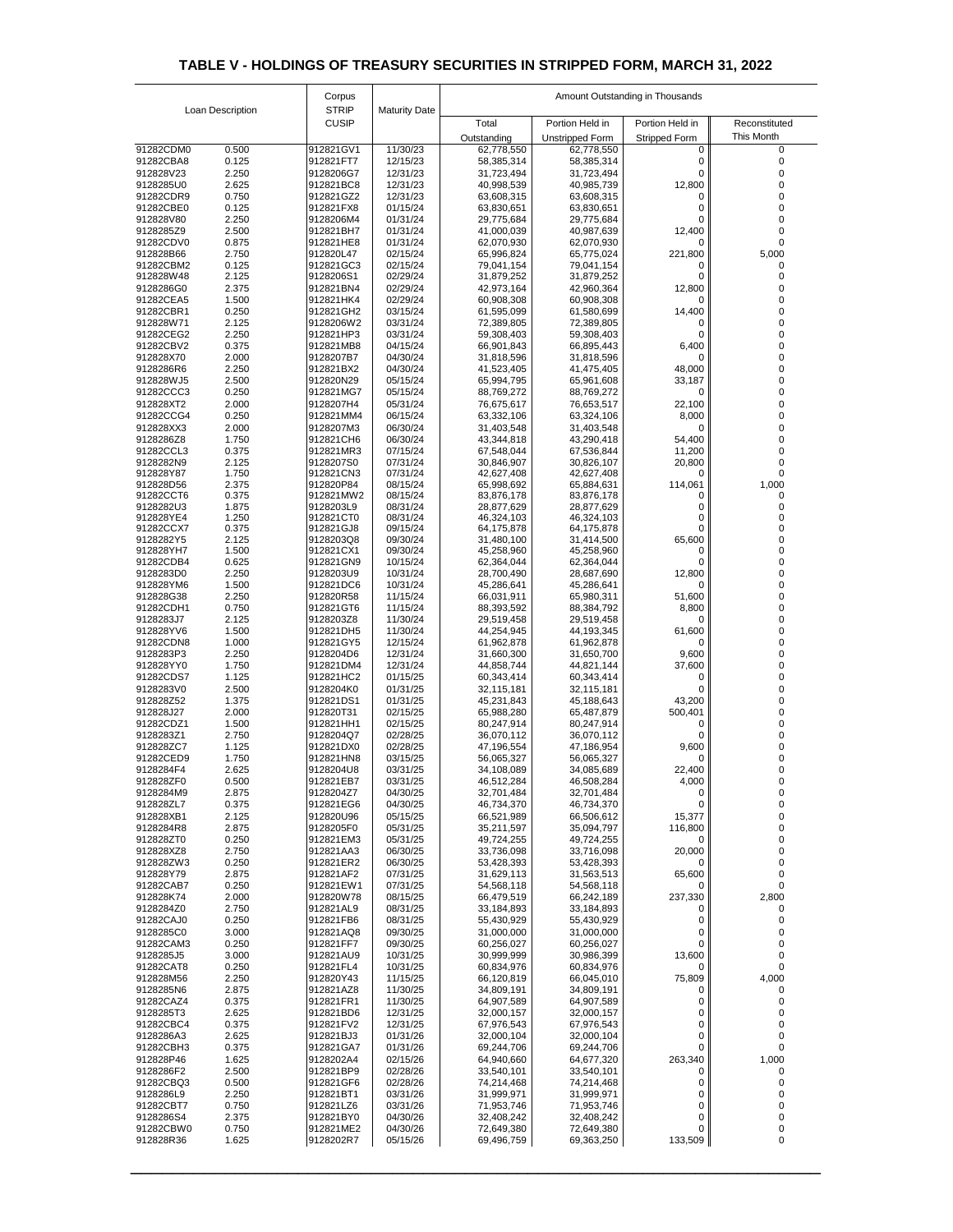|                        |                  | Corpus                 |                      | Amount Outstanding in Thousands |                                           |                                         |                                    |  |
|------------------------|------------------|------------------------|----------------------|---------------------------------|-------------------------------------------|-----------------------------------------|------------------------------------|--|
|                        | Loan Description | <b>STRIP</b>           | <b>Maturity Date</b> |                                 |                                           |                                         |                                    |  |
|                        |                  | <b>CUSIP</b>           |                      | Total                           | Portion Held in<br><b>Unstripped Form</b> | Portion Held in<br><b>Stripped Form</b> | Reconstituted<br><b>This Month</b> |  |
| 91282CDM0              | 0.500            | 912821GV1              | 11/30/23             | Outstanding<br>62,778,550       | 62,778,550                                | 0                                       | $\Omega$                           |  |
| 91282CBA8              | 0.125            | 912821FT7              | 12/15/23             | 58,385,314                      | 58,385,314                                | 0                                       |                                    |  |
| 912828V23<br>9128285U0 | 2.250<br>2.625   | 9128206G7<br>912821BC8 | 12/31/23<br>12/31/23 | 31,723,494<br>40,998,539        | 31,723,494<br>40,985,739                  | 0<br>12,800                             |                                    |  |
| 91282CDR9              | 0.750            | 912821GZ2              | 12/31/23             | 63,608,315                      | 63,608,315                                | 0                                       |                                    |  |
| 91282CBE0              | 0.125            | 912821FX8              | 01/15/24             | 63,830,651                      | 63,830,651                                |                                         |                                    |  |
| 912828V80<br>9128285Z9 | 2.250<br>2.500   | 9128206M4<br>912821BH7 | 01/31/24<br>01/31/24 | 29,775,684<br>41,000,039        | 29,775,684<br>40,987,639                  | 0<br>12,400                             |                                    |  |
| 91282CDV0              | 0.875            | 912821HE8              | 01/31/24             | 62,070,930                      | 62,070,930                                | 0                                       | 0                                  |  |
| 912828B66              | 2.750            | 912820L47              | 02/15/24             | 65,996,824                      | 65,775,024                                | 221,800                                 | 5,000                              |  |
| 91282CBM2<br>912828W48 | 0.125<br>2.125   | 912821GC3<br>9128206S1 | 02/15/24<br>02/29/24 | 79,041,154<br>31,879,252        | 79,041,154<br>31,879,252                  | O.                                      |                                    |  |
| 9128286G0              | 2.375            | 912821BN4              | 02/29/24             | 42,973,164                      | 42,960,364                                | 12,800                                  |                                    |  |
| 91282CEA5              | 1.500            | 912821HK4              | 02/29/24             | 60,908,308                      | 60,908,308                                | 0                                       |                                    |  |
| 91282CBR1<br>912828W71 | 0.250<br>2.125   | 912821GH2<br>9128206W2 | 03/15/24<br>03/31/24 | 61,595,099<br>72,389,805        | 61,580,699<br>72,389,805                  | 14,400<br>0                             |                                    |  |
| 91282CEG2              | 2.250            | 912821HP3              | 03/31/24             | 59,308,403                      | 59,308,403                                |                                         |                                    |  |
| 91282CBV2              | 0.375            | 912821MB8              | 04/15/24             | 66,901,843                      | 66,895,443                                | 6,400                                   |                                    |  |
| 912828X70<br>9128286R6 | 2.000<br>2.250   | 9128207B7<br>912821BX2 | 04/30/24<br>04/30/24 | 31,818,596<br>41,523,405        | 31,818,596<br>41,475,405                  | 0<br>48,000                             | 0                                  |  |
| 912828WJ5              | 2.500            | 912820N29              | 05/15/24             | 65,994,795                      | 65,961,608                                | 33,187                                  |                                    |  |
| 91282CCC3              | 0.250            | 912821MG7              | 05/15/24             | 88,769,272                      | 88,769,272                                | 0                                       |                                    |  |
| 912828XT2<br>91282CCG4 | 2.000<br>0.250   | 9128207H4<br>912821MM4 | 05/31/24<br>06/15/24 | 76,675,617                      | 76,653,517<br>63,324,106                  | 22,100                                  |                                    |  |
| 912828XX3              | 2.000            | 9128207M3              | 06/30/24             | 63,332,106<br>31,403,548        | 31,403,548                                | 8,000<br>O                              |                                    |  |
| 9128286Z8              | 1.750            | 912821CH6              | 06/30/24             | 43,344,818                      | 43,290,418                                | 54,400                                  |                                    |  |
| 91282CCL3              | 0.375            | 912821MR3              | 07/15/24             | 67,548,044                      | 67,536,844                                | 11,200                                  |                                    |  |
| 9128282N9<br>912828Y87 | 2.125<br>1.750   | 9128207S0<br>912821CN3 | 07/31/24<br>07/31/24 | 30,846,907<br>42,627,408        | 30,826,107<br>42,627,408                  | 20,800<br>0                             |                                    |  |
| 912828D56              | 2.375            | 912820P84              | 08/15/24             | 65,998,692                      | 65,884,631                                | 114,061                                 | 1,000                              |  |
| 91282CCT6              | 0.375            | 912821MW2              | 08/15/24             | 83,876,178                      | 83,876,178                                | Ω                                       |                                    |  |
| 9128282U3<br>912828YE4 | 1.875<br>1.250   | 9128203L9<br>912821CT0 | 08/31/24<br>08/31/24 | 28,877,629<br>46,324,103        | 28,877,629<br>46,324,103                  | 0                                       |                                    |  |
| 91282CCX7              | 0.375            | 912821GJ8              | 09/15/24             | 64,175,878                      | 64,175,878                                | 0                                       |                                    |  |
| 9128282Y5<br>912828YH7 | 2.125<br>1.500   | 9128203Q8<br>912821CX1 | 09/30/24<br>09/30/24 | 31,480,100<br>45,258,960        | 31,414,500<br>45,258,960                  | 65,600<br>0                             |                                    |  |
| 91282CDB4              | 0.625            | 912821GN9              | 10/15/24             | 62,364,044                      | 62,364,044                                |                                         |                                    |  |
| 9128283D0              | 2.250            | 9128203U9              | 10/31/24             | 28,700,490                      | 28,687,690                                | 12,800                                  |                                    |  |
| 912828YM6<br>912828G38 | 1.500<br>2.250   | 912821DC6<br>912820R58 | 10/31/24<br>11/15/24 | 45,286,641<br>66,031,911        | 45,286,641<br>65,980,311                  | 0<br>51,600                             |                                    |  |
| 91282CDH1              | 0.750            | 912821GT6              | 11/15/24             | 88,393,592                      | 88,384,792                                | 8,800                                   |                                    |  |
| 9128283J7              | 2.125            | 9128203Z8              | 11/30/24             | 29,519,458                      | 29,519,458                                | 0                                       |                                    |  |
| 912828YV6<br>91282CDN8 | 1.500<br>1.000   | 912821DH5<br>912821GY5 | 11/30/24<br>12/15/24 | 44,254,945                      | 44,193,345                                | 61,600                                  |                                    |  |
| 9128283P3              | 2.250            | 9128204D6              | 12/31/24             | 61,962,878<br>31,660,300        | 61,962,878<br>31,650,700                  | 0<br>9,600                              |                                    |  |
| 912828YY0              | 1.750            | 912821DM4              | 12/31/24             | 44,858,744                      | 44,821,144                                | 37,600                                  |                                    |  |
| 91282CDS7              | 1.125            | 912821HC2              | 01/15/25             | 60,343,414                      | 60,343,414                                | 0                                       |                                    |  |
| 9128283V0<br>912828Z52 | 2.500<br>1.375   | 9128204K0<br>912821DS1 | 01/31/25<br>01/31/25 | 32,115,181<br>45,231,843        | 32,115,181<br>45,188,643                  | 0<br>43,200                             |                                    |  |
| 912828J27              | 2.000            | 912820T31              | 02/15/25             | 65,988,280                      | 65,487,879                                | 500,401                                 |                                    |  |
| 91282CDZ1              | 1.500            | 912821HH1              | 02/15/25             | 80,247,914                      | 80,247,914                                | 0                                       |                                    |  |
| 9128283Z1<br>912828ZC7 | 2.750<br>1.125   | 9128204Q7<br>912821DX0 | 02/28/25<br>02/28/25 | 36,070,112<br>47,196,554        | 36,070,112<br>47,186,954                  | 9,600                                   |                                    |  |
| 91282CED9              | 1.750            | 912821HN8              | 03/15/25             | 56,065,327                      | 56,065,327                                | 0                                       |                                    |  |
| 9128284F4              | 2.625            | 9128204U8              | 03/31/25             | 34,108,089                      | 34,085,689                                | 22,400                                  |                                    |  |
| 912828ZF0<br>9128284M9 | 0.500<br>2.875   | 912821EB7<br>9128204Z7 | 03/31/25<br>04/30/25 | 46,512,284<br>32,701,484        | 46,508,284<br>32,701,484                  | 4,000<br>0                              |                                    |  |
| 912828ZL7              | 0.375            | 912821EG6              | 04/30/25             | 46,734,370                      | 46,734,370                                | 0                                       |                                    |  |
| 912828XB1              | 2.125            | 912820U96              | 05/15/25             | 66,521,989                      | 66,506,612                                | 15,377                                  |                                    |  |
| 9128284R8<br>912828ZT0 | 2.875<br>0.250   | 9128205F0<br>912821EM3 | 05/31/25<br>05/31/25 | 35,211,597<br>49,724,255        | 35,094,797<br>49,724,255                  | 116,800<br>0                            |                                    |  |
| 912828XZ8              | 2.750            | 912821AA3              | 06/30/25             | 33,736,098                      | 33,716,098                                | 20,000                                  |                                    |  |
| 912828ZW3              | 0.250            | 912821ER2              | 06/30/25             | 53,428,393                      | 53,428,393                                | 0                                       |                                    |  |
| 912828Y79<br>91282CAB7 | 2.875<br>0.250   | 912821AF2<br>912821EW1 | 07/31/25<br>07/31/25 | 31,629,113<br>54,568,118        | 31,563,513<br>54,568,118                  | 65,600<br>0                             |                                    |  |
| 912828K74              | 2.000            | 912820W78              | 08/15/25             | 66,479,519                      | 66,242,189                                | 237,330                                 | 2,800                              |  |
| 9128284Z0              | 2.750            | 912821AL9              | 08/31/25             | 33,184,893                      | 33,184,893                                | 0                                       |                                    |  |
| 91282CAJ0<br>9128285C0 | 0.250<br>3.000   | 912821FB6<br>912821AQ8 | 08/31/25<br>09/30/25 | 55,430,929<br>31,000,000        | 55,430,929<br>31,000,000                  | 0<br>0                                  |                                    |  |
| 91282CAM3              | 0.250            | 912821FF7              | 09/30/25             | 60,256,027                      | 60,256,027                                | 0                                       |                                    |  |
| 9128285J5              | 3.000            | 912821AU9              | 10/31/25             | 30,999,999                      | 30,986,399                                | 13,600                                  |                                    |  |
| 91282CAT8<br>912828M56 | 0.250<br>2.250   | 912821FL4<br>912820Y43 | 10/31/25<br>11/15/25 | 60,834,976<br>66,120,819        | 60,834,976<br>66,045,010                  | 0                                       |                                    |  |
| 9128285N6              | 2.875            | 912821AZ8              | 11/30/25             | 34,809,191                      | 34,809,191                                | 75,809<br>0                             | 4,000                              |  |
| 91282CAZ4              | 0.375            | 912821FR1              | 11/30/25             | 64,907,589                      | 64,907,589                                | 0                                       |                                    |  |
| 9128285T3              | 2.625            | 912821BD6              | 12/31/25             | 32,000,157                      | 32,000,157                                | 0                                       |                                    |  |
| 91282CBC4<br>9128286A3 | 0.375<br>2.625   | 912821FV2<br>912821BJ3 | 12/31/25<br>01/31/26 | 67,976,543<br>32,000,104        | 67,976,543<br>32,000,104                  | 0<br>0                                  |                                    |  |
| 91282CBH3              | 0.375            | 912821GA7              | 01/31/26             | 69,244,706                      | 69,244,706                                | 0                                       |                                    |  |
| 912828P46              | 1.625            | 9128202A4              | 02/15/26             | 64,940,660                      | 64,677,320                                | 263,340                                 | 1,000                              |  |
| 9128286F2<br>91282CBQ3 | 2.500<br>0.500   | 912821BP9<br>912821GF6 | 02/28/26<br>02/28/26 | 33,540,101<br>74,214,468        | 33,540,101<br>74,214,468                  | 0<br>0                                  | $\Omega$                           |  |
| 9128286L9              | 2.250            | 912821BT1              | 03/31/26             | 31,999,971                      | 31,999,971                                | 0                                       |                                    |  |
| 91282CBT7              | 0.750            | 912821LZ6              | 03/31/26             | 71,953,746                      | 71,953,746                                | 0                                       |                                    |  |
| 9128286S4<br>91282CBW0 | 2.375<br>0.750   | 912821BY0<br>912821ME2 | 04/30/26<br>04/30/26 | 32,408,242<br>72,649,380        | 32,408,242<br>72,649,380                  | 0<br>0                                  |                                    |  |
| 912828R36              | 1.625            | 9128202R7              | 05/15/26             | 69,496,759                      | 69,363,250                                | 133,509                                 | $\mathbf 0$                        |  |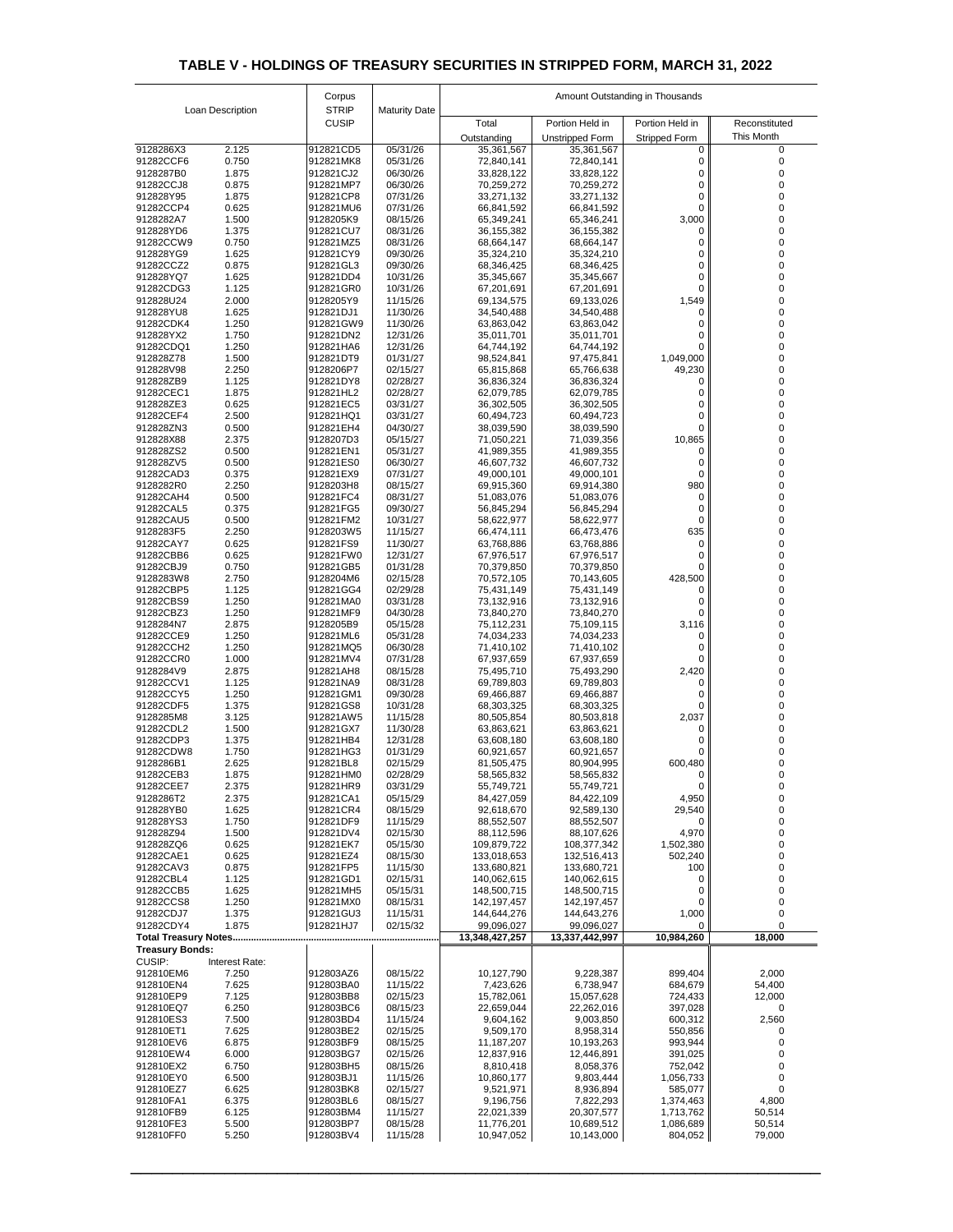|                                                           |                | Corpus                       |                      | Amount Outstanding in Thousands |                            |                         |               |  |
|-----------------------------------------------------------|----------------|------------------------------|----------------------|---------------------------------|----------------------------|-------------------------|---------------|--|
| Loan Description                                          |                | <b>STRIP</b><br><b>CUSIP</b> | <b>Maturity Date</b> | Total                           | Portion Held in            | Portion Held in         | Reconstituted |  |
|                                                           |                |                              |                      | Outstanding                     | Unstripped Form            | <b>Stripped Form</b>    | This Month    |  |
| 9128286X3                                                 | 2.125          | 912821CD5                    | 05/31/26             | 35,361,567                      | 35,361,567                 |                         |               |  |
| 91282CCF6<br>9128287B0                                    | 0.750<br>1.875 | 912821MK8<br>912821CJ2       | 05/31/26<br>06/30/26 | 72,840,141<br>33,828,122        | 72,840,141<br>33,828,122   |                         |               |  |
| 91282CCJ8                                                 | 0.875          | 912821MP7                    | 06/30/26             | 70,259,272                      | 70,259,272                 | 0                       |               |  |
| 912828Y95                                                 | 1.875          | 912821CP8                    | 07/31/26             | 33,271,132                      | 33,271,132                 |                         |               |  |
| 91282CCP4<br>9128282A7                                    | 0.625<br>1.500 | 912821MU6<br>9128205K9       | 07/31/26<br>08/15/26 | 66,841,592<br>65,349,241        | 66,841,592<br>65,346,241   | 3,000                   |               |  |
| 912828YD6                                                 | 1.375          | 912821CU7                    | 08/31/26             | 36, 155, 382                    | 36, 155, 382               |                         |               |  |
| 91282CCW9                                                 | 0.750          | 912821MZ5                    | 08/31/26             | 68,664,147                      | 68,664,147                 |                         |               |  |
| 912828YG9<br>91282CCZ2                                    | 1.625<br>0.875 | 912821CY9<br>912821GL3       | 09/30/26<br>09/30/26 | 35,324,210<br>68,346,425        | 35,324,210<br>68,346,425   | 0                       |               |  |
| 912828YQ7                                                 | 1.625          | 912821DD4                    | 10/31/26             | 35,345,667                      | 35,345,667                 | 0                       |               |  |
| 91282CDG3<br>912828U24                                    | 1.125<br>2.000 | 912821GR0<br>9128205Y9       | 10/31/26<br>11/15/26 | 67,201,691<br>69,134,575        | 67,201,691<br>69,133,026   | 1,549                   |               |  |
| 912828YU8                                                 | 1.625          | 912821DJ1                    | 11/30/26             | 34,540,488                      | 34,540,488                 |                         |               |  |
| 91282CDK4                                                 | 1.250          | 912821GW9                    | 11/30/26             | 63,863,042                      | 63,863,042                 |                         |               |  |
| 912828YX2<br>91282CDQ1                                    | 1.750<br>1.250 | 912821DN2<br>912821HA6       | 12/31/26<br>12/31/26 | 35,011,701<br>64,744,192        | 35,011,701<br>64,744,192   |                         |               |  |
| 912828Z78                                                 | 1.500          | 912821DT9                    | 01/31/27             | 98,524,841                      | 97,475,841                 | 1,049,000               |               |  |
| 912828V98                                                 | 2.250          | 9128206P7                    | 02/15/27             | 65,815,868                      | 65,766,638                 | 49,230                  |               |  |
| 912828ZB9<br>91282CEC1                                    | 1.125<br>1.875 | 912821DY8<br>912821HL2       | 02/28/27<br>02/28/27 | 36,836,324<br>62,079,785        | 36,836,324<br>62,079,785   |                         |               |  |
| 912828ZE3                                                 | 0.625          | 912821EC5                    | 03/31/27             | 36,302,505                      | 36,302,505                 |                         |               |  |
| 91282CEF4                                                 | 2.500          | 912821HQ1                    | 03/31/27             | 60,494,723                      | 60,494,723                 |                         |               |  |
| 912828ZN3<br>912828X88                                    | 0.500<br>2.375 | 912821EH4<br>9128207D3       | 04/30/27<br>05/15/27 | 38,039,590<br>71,050,221        | 38,039,590<br>71,039,356   | 10,865                  |               |  |
| 912828ZS2                                                 | 0.500          | 912821EN1                    | 05/31/27             | 41,989,355                      | 41,989,355                 | 0                       |               |  |
| 912828ZV5                                                 | 0.500          | 912821ES0                    | 06/30/27             | 46,607,732                      | 46,607,732                 | 0                       |               |  |
| 91282CAD3<br>9128282R0                                    | 0.375<br>2.250 | 912821EX9<br>9128203H8       | 07/31/27<br>08/15/27 | 49,000,101<br>69,915,360        | 49,000,101<br>69,914,380   | 0<br>980                |               |  |
| 91282CAH4                                                 | 0.500          | 912821FC4                    | 08/31/27             | 51,083,076                      | 51,083,076                 | 0                       |               |  |
| 91282CAL5                                                 | 0.375          | 912821FG5                    | 09/30/27             | 56,845,294                      | 56,845,294                 |                         |               |  |
| 91282CAU5<br>9128283F5                                    | 0.500<br>2.250 | 912821FM2<br>9128203W5       | 10/31/27<br>11/15/27 | 58,622,977<br>66,474,111        | 58,622,977<br>66,473,476   | 635                     |               |  |
| 91282CAY7                                                 | 0.625          | 912821FS9                    | 11/30/27             | 63,768,886                      | 63,768,886                 |                         |               |  |
| 91282CBB6<br>91282CBJ9                                    | 0.625<br>0.750 | 912821FW0<br>912821GB5       | 12/31/27<br>01/31/28 | 67,976,517<br>70,379,850        | 67,976,517<br>70,379,850   |                         |               |  |
| 9128283W8                                                 | 2.750          | 9128204M6                    | 02/15/28             | 70,572,105                      | 70,143,605                 | 428,500                 |               |  |
| 91282CBP5                                                 | 1.125          | 912821GG4                    | 02/29/28             | 75,431,149                      | 75,431,149                 |                         |               |  |
| 91282CBS9<br>91282CBZ3                                    | 1.250<br>1.250 | 912821MA0<br>912821MF9       | 03/31/28<br>04/30/28 | 73,132,916<br>73,840,270        | 73,132,916<br>73,840,270   |                         |               |  |
| 9128284N7                                                 | 2.875          | 9128205B9                    | 05/15/28             | 75,112,231                      | 75,109,115                 | 3,116                   |               |  |
| 91282CCE9                                                 | 1.250          | 912821ML6                    | 05/31/28             | 74,034,233                      | 74,034,233                 | 0                       |               |  |
| 91282CCH2<br>91282CCR0                                    | 1.250<br>1.000 | 912821MQ5<br>912821MV4       | 06/30/28<br>07/31/28 | 71,410,102<br>67,937,659        | 71,410,102<br>67,937,659   |                         |               |  |
| 9128284V9                                                 | 2.875          | 912821AH8                    | 08/15/28             | 75,495,710                      | 75,493,290                 | 2,420                   |               |  |
| 91282CCV1                                                 | 1.125          | 912821NA9                    | 08/31/28             | 69,789,803                      | 69,789,803                 |                         |               |  |
| 91282CCY5<br>91282CDF5                                    | 1.250<br>1.375 | 912821GM1<br>912821GS8       | 09/30/28<br>10/31/28 | 69,466,887<br>68,303,325        | 69,466,887<br>68,303,325   |                         |               |  |
| 9128285M8                                                 | 3.125          | 912821AW5                    | 11/15/28             | 80,505,854                      | 80,503,818                 | 2,037                   |               |  |
| 91282CDL2                                                 | 1.500          | 912821GX7                    | 11/30/28             | 63,863,621                      | 63,863,621                 |                         |               |  |
| 91282CDP3<br>91282CDW8                                    | 1.375<br>1.750 | 912821HB4<br>912821HG3       | 12/31/28<br>01/31/29 | 63,608,180<br>60,921,657        | 63,608,180<br>60,921,657   |                         |               |  |
| 9128286B1                                                 | 2.625          | 912821BL8                    | 02/15/29             | 81,505,475                      | 80,904,995                 | 600,480                 |               |  |
| 91282CEB3<br>91282CEE7                                    | 1.875<br>2.375 | 912821HM0<br>912821HR9       | 02/28/29<br>03/31/29 | 58,565,832<br>55,749,721        | 58,565,832<br>55,749,721   |                         |               |  |
| 9128286T2                                                 | 2.375          | 912821CA1                    | 05/15/29             | 84,427,059                      | 84,422,109                 | 4,950                   |               |  |
| 912828YB0                                                 | 1.625          | 912821CR4                    | 08/15/29             | 92,618,670                      | 92,589,130                 | 29,540                  |               |  |
| 912828YS3<br>912828Z94                                    | 1.750<br>1.500 | 912821DF9<br>912821DV4       | 11/15/29<br>02/15/30 | 88,552,507<br>88,112,596        | 88,552,507<br>88,107,626   | $\overline{0}$<br>4,970 | 0             |  |
| 912828ZQ6                                                 | 0.625          | 912821EK7                    | 05/15/30             | 109,879,722                     | 108,377,342                | 1,502,380               |               |  |
| 91282CAE1                                                 | 0.625          | 912821EZ4                    | 08/15/30             | 133,018,653                     | 132,516,413                | 502,240                 |               |  |
| 91282CAV3<br>91282CBL4                                    | 0.875<br>1.125 | 912821FP5<br>912821GD1       | 11/15/30<br>02/15/31 | 133,680,821<br>140,062,615      | 133,680,721<br>140,062,615 | 100                     |               |  |
| 91282CCB5                                                 | 1.625          | 912821MH5                    | 05/15/31             | 148,500,715                     | 148,500,715                | 0                       |               |  |
| 91282CCS8<br>91282CDJ7                                    | 1.250<br>1.375 | 912821MX0<br>912821GU3       | 08/15/31<br>11/15/31 | 142,197,457<br>144,644,276      | 142,197,457                | 0                       |               |  |
| 91282CDY4                                                 | 1.875          | 912821HJ7                    | 02/15/32             | 99,096,027                      | 144,643,276<br>99,096,027  | 1,000                   |               |  |
| <b>Total Treasury Notes</b>                               |                |                              |                      | 13,348,427,257                  | 13,337,442,997             | 10,984,260              | 18,000        |  |
| <b>Treasury Bonds:</b><br><b>CUSIP:</b><br>Interest Rate: |                |                              |                      |                                 |                            |                         |               |  |
| 912810EM6                                                 | 7.250          | 912803AZ6                    | 08/15/22             | 10,127,790                      | 9,228,387                  | 899,404                 | 2,000         |  |
| 912810EN4                                                 | 7.625          | 912803BA0                    | 11/15/22             | 7,423,626                       | 6,738,947                  | 684,679                 | 54,400        |  |
| 912810EP9<br>912810EQ7                                    | 7.125<br>6.250 | 912803BB8<br>912803BC6       | 02/15/23<br>08/15/23 | 15,782,061<br>22,659,044        | 15,057,628<br>22,262,016   | 724,433<br>397,028      | 12,000<br>0   |  |
| 912810ES3                                                 | 7.500          | 912803BD4                    | 11/15/24             | 9,604,162                       | 9,003,850                  | 600,312                 | 2,560         |  |
| 912810ET1                                                 | 7.625          | 912803BE2                    | 02/15/25             | 9,509,170                       | 8,958,314                  | 550,856                 |               |  |
| 912810EV6<br>912810EW4                                    | 6.875<br>6.000 | 912803BF9<br>912803BG7       | 08/15/25<br>02/15/26 | 11,187,207<br>12,837,916        | 10,193,263<br>12,446,891   | 993,944<br>391,025      |               |  |
| 912810EX2                                                 | 6.750          | 912803BH5                    | 08/15/26             | 8,810,418                       | 8,058,376                  | 752,042                 |               |  |
| 912810EY0                                                 | 6.500          | 912803BJ1                    | 11/15/26             | 10,860,177                      | 9,803,444                  | 1,056,733               |               |  |
| 912810EZ7<br>912810FA1                                    | 6.625<br>6.375 | 912803BK8<br>912803BL6       | 02/15/27<br>08/15/27 | 9,521,971<br>9,196,756          | 8,936,894<br>7,822,293     | 585,077<br>1,374,463    | 4,800         |  |
| 912810FB9                                                 | 6.125          | 912803BM4                    | 11/15/27             | 22,021,339                      | 20,307,577                 | 1,713,762               | 50,514        |  |
| 912810FE3                                                 | 5.500          | 912803BP7                    | 08/15/28             | 11,776,201                      | 10,689,512                 | 1,086,689               | 50,514        |  |
| 912810FF0                                                 | 5.250          | 912803BV4                    | 11/15/28             | 10,947,052                      | 10,143,000                 | 804,052                 | 79,000        |  |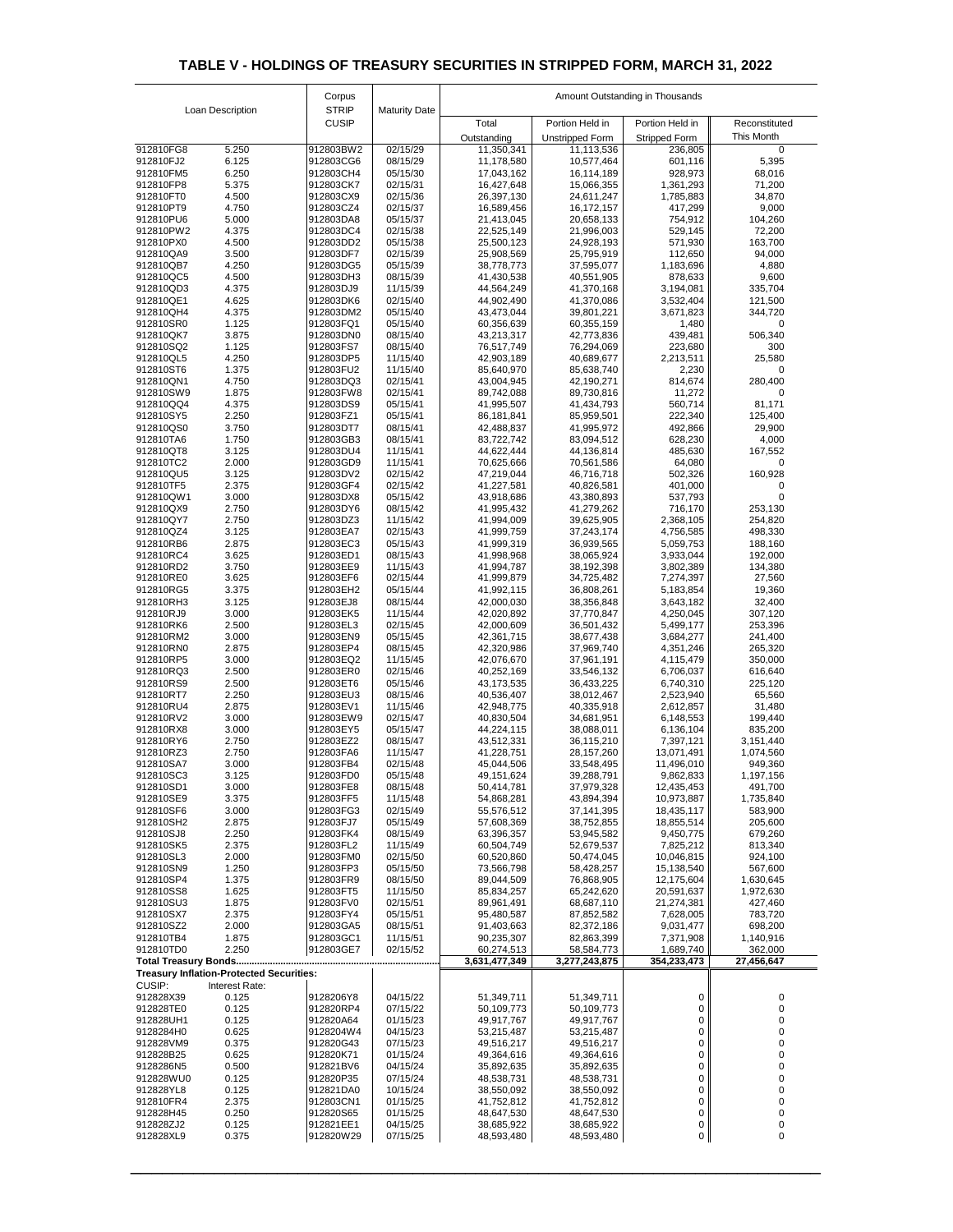| <b>STRIP</b><br>Loan Description<br><b>Maturity Date</b><br><b>CUSIP</b><br>Portion Held in<br>Total<br>Portion Held in<br>Reconstituted<br>This Month<br><b>Unstripped Form</b><br><b>Stripped Form</b><br>Outstanding<br>912810FG8<br>5.250<br>912803BW2<br>02/15/29<br>11,113,536<br>11,350,341<br>236,805<br>$\overline{0}$<br>6.125<br>601,116<br>5,395<br>912810FJ2<br>912803CG6<br>08/15/29<br>11,178,580<br>10,577,464<br>6.250<br>928,973<br>68,016<br>912810FM5<br>912803CH4<br>05/15/30<br>17,043,162<br>16,114,189<br>912810FP8<br>5.375<br>912803CK7<br>02/15/31<br>16,427,648<br>15,066,355<br>1,361,293<br>71,200<br>912810FT0<br>4.500<br>912803CX9<br>02/15/36<br>26,397,130<br>24,611,247<br>1,785,883<br>34,870<br>4.750<br>02/15/37<br>9,000<br>912810PT9<br>912803CZ4<br>16,589,456<br>16,172,157<br>417,299<br>5.000<br>912810PU6<br>912803DA8<br>05/15/37<br>21,413,045<br>20,658,133<br>754,912<br>104,260<br>4.375<br>529,145<br>912810PW2<br>912803DC4<br>02/15/38<br>22,525,149<br>21,996,003<br>72,200<br>4.500<br>912810PX0<br>912803DD2<br>05/15/38<br>25,500,123<br>24,928,193<br>571,930<br>163,700<br>912810QA9<br>3.500<br>912803DF7<br>02/15/39<br>112,650<br>94,000<br>25,908,569<br>25,795,919<br>4.250<br>1,183,696<br>4,880<br>912810QB7<br>912803DG5<br>05/15/39<br>38,778,773<br>37,595,077<br>4.500<br>9,600<br>912810QC5<br>912803DH3<br>08/15/39<br>41,430,538<br>40,551,905<br>878,633<br>4.375<br>912810QD3<br>912803DJ9<br>11/15/39<br>44,564,249<br>41,370,168<br>3,194,081<br>335,704<br>4.625<br>3,532,404<br>912810QE1<br>912803DK6<br>02/15/40<br>44,902,490<br>41,370,086<br>121,500<br>912810QH4<br>4.375<br>912803DM2<br>05/15/40<br>43,473,044<br>39,801,221<br>3,671,823<br>344,720<br>1.125<br>912810SR0<br>912803FQ1<br>05/15/40<br>60,356,639<br>60,355,159<br>1,480<br>$\mathcal{L}$<br>912810QK7<br>3.875<br>912803DN0<br>08/15/40<br>43,213,317<br>42,773,836<br>439,481<br>506,340<br>912810SQ2<br>1.125<br>912803FS7<br>08/15/40<br>76,517,749<br>223,680<br>76,294,069<br>300<br>4.250<br>42,903,189<br>912810QL5<br>912803DP5<br>11/15/40<br>40,689,677<br>2,213,511<br>25,580<br>912810ST6<br>1.375<br>912803FU2<br>11/15/40<br>85,640,970<br>85,638,740<br>2,230<br>912810QN1<br>4.750<br>912803DQ3<br>02/15/41<br>43,004,945<br>42,190,271<br>814,674<br>280,400<br>1.875<br>11,272<br>912810SW9<br>912803FW8<br>02/15/41<br>89,742,088<br>89,730,816<br>4.375<br>912810QQ4<br>912803DS9<br>05/15/41<br>560,714<br>81,171<br>41,995,507<br>41,434,793<br>2.250<br>222,340<br>125,400<br>912810SY5<br>912803FZ1<br>05/15/41<br>86, 181, 841<br>85,959,501<br>3.750<br>912810QS0<br>912803DT7<br>42,488,837<br>492,866<br>29,900<br>08/15/41<br>41,995,972<br>912810TA6<br>1.750<br>912803GB3<br>08/15/41<br>628,230<br>4,000<br>83,722,742<br>83,094,512<br>485,630<br>3.125<br>912803DU4<br>11/15/41<br>44,622,444<br>44,136,814<br>167,552<br>912810QT8<br>912810TC2<br>2.000<br>912803GD9<br>11/15/41<br>64,080<br>70,625,666<br>70,561,586<br>502,326<br>3.125<br>02/15/42<br>47,219,044<br>912810QU5<br>912803DV2<br>46,716,718<br>160,928<br>2.375<br>02/15/42<br>41,227,581<br>912810TF5<br>912803GF4<br>40,826,581<br>401,000<br>3.000<br>05/15/42<br>912810QW1<br>912803DX8<br>43,918,686<br>43,380,893<br>537,793<br>2.750<br>912803DY6<br>41,995,432<br>41,279,262<br>716,170<br>912810QX9<br>08/15/42<br>253,130<br>2.750<br>2,368,105<br>912810QY7<br>912803DZ3<br>11/15/42<br>41,994,009<br>39,625,905<br>254,820<br>3.125<br>02/15/43<br>912810QZ4<br>912803EA7<br>41,999,759<br>37,243,174<br>4,756,585<br>498,330<br>2.875<br>05/15/43<br>41,999,319<br>912810RB6<br>912803EC3<br>36,939,565<br>5,059,753<br>188,160<br>3.625<br>912810RC4<br>912803ED1<br>08/15/43<br>41,998,968<br>38,065,924<br>3,933,044<br>192,000<br>3.750<br>912803EE9<br>11/15/43<br>41,994,787<br>38,192,398<br>3,802,389<br>134,380<br>912810RD2<br>3.625<br>912810RE0<br>912803EF6<br>02/15/44<br>41,999,879<br>7,274,397<br>27,560<br>34,725,482<br>05/15/44<br>912810RG5<br>3.375<br>912803EH2<br>41,992,115<br>36,808,261<br>5,183,854<br>19,360<br>3.125<br>08/15/44<br>42,000,030<br>38,356,848<br>3,643,182<br>32,400<br>912810RH3<br>912803EJ8<br>3.000<br>11/15/44<br>912810RJ9<br>912803EK5<br>42,020,892<br>37,770,847<br>4,250,045<br>307,120<br>2.500<br>912803EL3<br>02/15/45<br>42,000,609<br>5,499,177<br>912810RK6<br>36,501,432<br>253,396<br>3.000<br>912810RM2<br>912803EN9<br>05/15/45<br>42,361,715<br>38,677,438<br>3,684,277<br>241,400<br>2.875<br>265,320<br>912810RN0<br>912803EP4<br>08/15/45<br>42,320,986<br>37,969,740<br>4,351,246<br>3.000<br>11/15/45<br>350,000<br>912810RP5<br>912803EQ2<br>42,076,670<br>37,961,191<br>4,115,479<br>2.500<br>912810RQ3<br>912803ER0<br>02/15/46<br>6,706,037<br>616,640<br>40,252,169<br>33,546,132<br>2.500<br>05/15/46<br>36,433,225<br>6,740,310<br>225,120<br>912810RS9<br>912803ET6<br>43,173,535<br>2.250<br>2,523,940<br>912810RT7<br>912803EU3<br>08/15/46<br>40,536,407<br>38,012,467<br>65,560<br>2.875<br>912810RU4<br>912803EV1<br>11/15/46<br>42,948,775<br>40,335,918<br>2,612,857<br>31,480<br>3.000<br>199,440<br>912810RV2<br>912803EW9<br>02/15/47<br>40,830,504<br>34,681,951<br>6,148,553<br>3.000<br>912810RX8<br>912803EY5<br>05/15/47<br>44,224,115<br>38,088,011<br>6,136,104<br>835,200<br>2.750<br>3,151,440<br>912810RY6<br>912803EZ2<br>08/15/47<br>43,512,331<br>36,115,210<br>7,397,121<br>2.750<br>912810RZ3<br>912803FA6<br>11/15/47<br>41,228,751<br>28,157,260<br>13,071,491<br>1,074,560<br>3.000<br>912810SA7<br>912803FB4<br>02/15/48<br>11,496,010<br>949,360<br>45,044,506<br>33,548,495<br>3.125<br>9,862,833<br>1,197,156<br>912810SC3<br>912803FD0<br>05/15/48<br>49,151,624<br>39,288,791<br>3.000<br>912810SD1<br>912803FE8<br>08/15/48<br>50,414,781<br>37,979,328<br>12,435,453<br>491,700<br>3.375<br>912810SE9<br>912803FF5<br>11/15/48<br>54,868,281<br>43,894,394<br>10,973,887<br>1,735,840<br>02/15/49<br>912810SF6<br>3.000<br>912803FG3<br>55,576,512<br>37, 141, 395<br>18,435,117<br>583,900<br>05/15/49<br>912810SH2<br>2.875<br>912803FJ7<br>57,608,369<br>38,752,855<br>18,855,514<br>205,600<br>2.250<br>912810SJ8<br>912803FK4<br>08/15/49<br>63,396,357<br>53,945,582<br>9,450,775<br>679,260<br>912810SK5<br>2.375<br>912803FL2<br>11/15/49<br>60,504,749<br>52,679,537<br>7,825,212<br>813,340<br>912810SL3<br>2.000<br>912803FM0<br>02/15/50<br>60,520,860<br>10,046,815<br>924,100<br>50,474,045<br>1.250<br>912810SN9<br>912803FP3<br>05/15/50<br>73,566,798<br>58,428,257<br>15,138,540<br>567,600<br>912810SP4<br>1.375<br>912803FR9<br>08/15/50<br>12,175,604<br>1,630,645<br>89,044,509<br>76,868,905<br>1.625<br>912810SS8<br>912803FT5<br>11/15/50<br>85,834,257<br>65,242,620<br>20,591,637<br>1,972,630<br>912810SU3<br>1.875<br>912803FV0<br>02/15/51<br>89,961,491<br>68,687,110<br>21,274,381<br>427,460<br>912810SX7<br>2.375<br>912803FY4<br>05/15/51<br>783,720<br>95,480,587<br>87,852,582<br>7,628,005<br>2.000<br>9,031,477<br>698,200<br>912803GA5<br>08/15/51<br>91,403,663<br>82,372,186<br>912810SZ2<br>912810TB4<br>1.875<br>912803GC1<br>11/15/51<br>1,140,916<br>90,235,307<br>82,863,399<br>7,371,908<br>2.250<br>912803GE7<br>02/15/52<br>362,000<br>912810TD0<br>60,274,513<br>1,689,740<br>58,584,773<br>3,631,477,349<br>3,277,243,875<br>354,233,473<br>27,456,647<br><b>Treasury Inflation-Protected Securities:</b><br><b>CUSIP:</b><br>Interest Rate:<br>912828X39<br>0.125<br>04/15/22<br>51,349,711<br>9128206Y8<br>51,349,711<br>0<br>$\Omega$<br>0.125<br>912820RP4<br>07/15/22<br>50,109,773<br>0<br>912828TE0<br>50,109,773<br>0<br>0.125<br>912828UH1<br>912820A64<br>01/15/23<br>49,917,767<br>49,917,767<br>0<br>0.625<br>0<br>9128284H0<br>9128204W4<br>04/15/23<br>53,215,487<br>53,215,487<br>0.375<br>0<br>912820G43<br>07/15/23<br>49,516,217<br>912828VM9<br>49,516,217<br>0<br>0.625<br>912820K71<br>01/15/24<br>912828B25<br>49,364,616<br>49,364,616<br>0.500<br>0<br>912821BV6<br>04/15/24<br>35,892,635<br>35,892,635<br>9128286N5<br>0.125<br>0<br>912828WU0<br>912820P35<br>07/15/24<br>48,538,731<br>48,538,731<br>0.125<br>0<br>912828YL8<br>912821DA0<br>10/15/24<br>38,550,092<br>38,550,092<br>0<br>2.375<br>912803CN1<br>01/15/25<br>41,752,812<br>41,752,812<br>912810FR4<br>0<br>0.250<br>912820S65<br>01/15/25<br>912828H45<br>48,647,530<br>48,647,530<br>0<br>0.125<br>912821EE1<br>04/15/25<br>0<br>912828ZJ2<br>38,685,922<br>38,685,922<br>0<br>912828XL9<br>912820W29<br>48,593,480<br>0.375<br>07/15/25<br>48,593,480<br>0 |  | Corpus | Amount Outstanding in Thousands |  |  |  |  |  |
|-----------------------------------------------------------------------------------------------------------------------------------------------------------------------------------------------------------------------------------------------------------------------------------------------------------------------------------------------------------------------------------------------------------------------------------------------------------------------------------------------------------------------------------------------------------------------------------------------------------------------------------------------------------------------------------------------------------------------------------------------------------------------------------------------------------------------------------------------------------------------------------------------------------------------------------------------------------------------------------------------------------------------------------------------------------------------------------------------------------------------------------------------------------------------------------------------------------------------------------------------------------------------------------------------------------------------------------------------------------------------------------------------------------------------------------------------------------------------------------------------------------------------------------------------------------------------------------------------------------------------------------------------------------------------------------------------------------------------------------------------------------------------------------------------------------------------------------------------------------------------------------------------------------------------------------------------------------------------------------------------------------------------------------------------------------------------------------------------------------------------------------------------------------------------------------------------------------------------------------------------------------------------------------------------------------------------------------------------------------------------------------------------------------------------------------------------------------------------------------------------------------------------------------------------------------------------------------------------------------------------------------------------------------------------------------------------------------------------------------------------------------------------------------------------------------------------------------------------------------------------------------------------------------------------------------------------------------------------------------------------------------------------------------------------------------------------------------------------------------------------------------------------------------------------------------------------------------------------------------------------------------------------------------------------------------------------------------------------------------------------------------------------------------------------------------------------------------------------------------------------------------------------------------------------------------------------------------------------------------------------------------------------------------------------------------------------------------------------------------------------------------------------------------------------------------------------------------------------------------------------------------------------------------------------------------------------------------------------------------------------------------------------------------------------------------------------------------------------------------------------------------------------------------------------------------------------------------------------------------------------------------------------------------------------------------------------------------------------------------------------------------------------------------------------------------------------------------------------------------------------------------------------------------------------------------------------------------------------------------------------------------------------------------------------------------------------------------------------------------------------------------------------------------------------------------------------------------------------------------------------------------------------------------------------------------------------------------------------------------------------------------------------------------------------------------------------------------------------------------------------------------------------------------------------------------------------------------------------------------------------------------------------------------------------------------------------------------------------------------------------------------------------------------------------------------------------------------------------------------------------------------------------------------------------------------------------------------------------------------------------------------------------------------------------------------------------------------------------------------------------------------------------------------------------------------------------------------------------------------------------------------------------------------------------------------------------------------------------------------------------------------------------------------------------------------------------------------------------------------------------------------------------------------------------------------------------------------------------------------------------------------------------------------------------------------------------------------------------------------------------------------------------------------------------------------------------------------------------------------------------------------------------------------------------------------------------------------------------------------------------------------------------------------------------------------------------------------------------------------------------------------------------------------------------------------------------------------------------------------------------------------------------------------------------------------------------------------------------------------------------------------------------------------------------------------------------------------------------------------------------------------------------------------------------------------------------------------------------------------------------------------------------------------------------------------------------------------------------------------------------------------------------------------------------------------------------------------------------------------------------------------------------------------------------------------------------------------------------------------------------------------------------------------------------------------------------------------------------------------------------------------------------------------------------------------------------------------------------------------------------------------------------------------------------------------------------------------------------------------------------------------------------------------------------------------------------------------------------------------------------------------------------------------------------------------------------------------------------------------------------------------------------------------------------------------------------------------------------------------------------------------------------------------------------------------------------------------------------------------------------------------------------------------------------------------------------------------------------------------|--|--------|---------------------------------|--|--|--|--|--|
|                                                                                                                                                                                                                                                                                                                                                                                                                                                                                                                                                                                                                                                                                                                                                                                                                                                                                                                                                                                                                                                                                                                                                                                                                                                                                                                                                                                                                                                                                                                                                                                                                                                                                                                                                                                                                                                                                                                                                                                                                                                                                                                                                                                                                                                                                                                                                                                                                                                                                                                                                                                                                                                                                                                                                                                                                                                                                                                                                                                                                                                                                                                                                                                                                                                                                                                                                                                                                                                                                                                                                                                                                                                                                                                                                                                                                                                                                                                                                                                                                                                                                                                                                                                                                                                                                                                                                                                                                                                                                                                                                                                                                                                                                                                                                                                                                                                                                                                                                                                                                                                                                                                                                                                                                                                                                                                                                                                                                                                                                                                                                                                                                                                                                                                                                                                                                                                                                                                                                                                                                                                                                                                                                                                                                                                                                                                                                                                                                                                                                                                                                                                                                                                                                                                                                                                                                                                                                                                                                                                                                                                                                                                                                                                                                                                                                                                                                                                                                                                                                                                                                                                                                                                                                                                                                                                                                                                                                                                                                                                                                                                                                                                                                                                                                                                                                                                                                                                                                                                                                                                                                                                                           |  |        |                                 |  |  |  |  |  |
|                                                                                                                                                                                                                                                                                                                                                                                                                                                                                                                                                                                                                                                                                                                                                                                                                                                                                                                                                                                                                                                                                                                                                                                                                                                                                                                                                                                                                                                                                                                                                                                                                                                                                                                                                                                                                                                                                                                                                                                                                                                                                                                                                                                                                                                                                                                                                                                                                                                                                                                                                                                                                                                                                                                                                                                                                                                                                                                                                                                                                                                                                                                                                                                                                                                                                                                                                                                                                                                                                                                                                                                                                                                                                                                                                                                                                                                                                                                                                                                                                                                                                                                                                                                                                                                                                                                                                                                                                                                                                                                                                                                                                                                                                                                                                                                                                                                                                                                                                                                                                                                                                                                                                                                                                                                                                                                                                                                                                                                                                                                                                                                                                                                                                                                                                                                                                                                                                                                                                                                                                                                                                                                                                                                                                                                                                                                                                                                                                                                                                                                                                                                                                                                                                                                                                                                                                                                                                                                                                                                                                                                                                                                                                                                                                                                                                                                                                                                                                                                                                                                                                                                                                                                                                                                                                                                                                                                                                                                                                                                                                                                                                                                                                                                                                                                                                                                                                                                                                                                                                                                                                                                                           |  |        |                                 |  |  |  |  |  |
|                                                                                                                                                                                                                                                                                                                                                                                                                                                                                                                                                                                                                                                                                                                                                                                                                                                                                                                                                                                                                                                                                                                                                                                                                                                                                                                                                                                                                                                                                                                                                                                                                                                                                                                                                                                                                                                                                                                                                                                                                                                                                                                                                                                                                                                                                                                                                                                                                                                                                                                                                                                                                                                                                                                                                                                                                                                                                                                                                                                                                                                                                                                                                                                                                                                                                                                                                                                                                                                                                                                                                                                                                                                                                                                                                                                                                                                                                                                                                                                                                                                                                                                                                                                                                                                                                                                                                                                                                                                                                                                                                                                                                                                                                                                                                                                                                                                                                                                                                                                                                                                                                                                                                                                                                                                                                                                                                                                                                                                                                                                                                                                                                                                                                                                                                                                                                                                                                                                                                                                                                                                                                                                                                                                                                                                                                                                                                                                                                                                                                                                                                                                                                                                                                                                                                                                                                                                                                                                                                                                                                                                                                                                                                                                                                                                                                                                                                                                                                                                                                                                                                                                                                                                                                                                                                                                                                                                                                                                                                                                                                                                                                                                                                                                                                                                                                                                                                                                                                                                                                                                                                                                                           |  |        |                                 |  |  |  |  |  |
|                                                                                                                                                                                                                                                                                                                                                                                                                                                                                                                                                                                                                                                                                                                                                                                                                                                                                                                                                                                                                                                                                                                                                                                                                                                                                                                                                                                                                                                                                                                                                                                                                                                                                                                                                                                                                                                                                                                                                                                                                                                                                                                                                                                                                                                                                                                                                                                                                                                                                                                                                                                                                                                                                                                                                                                                                                                                                                                                                                                                                                                                                                                                                                                                                                                                                                                                                                                                                                                                                                                                                                                                                                                                                                                                                                                                                                                                                                                                                                                                                                                                                                                                                                                                                                                                                                                                                                                                                                                                                                                                                                                                                                                                                                                                                                                                                                                                                                                                                                                                                                                                                                                                                                                                                                                                                                                                                                                                                                                                                                                                                                                                                                                                                                                                                                                                                                                                                                                                                                                                                                                                                                                                                                                                                                                                                                                                                                                                                                                                                                                                                                                                                                                                                                                                                                                                                                                                                                                                                                                                                                                                                                                                                                                                                                                                                                                                                                                                                                                                                                                                                                                                                                                                                                                                                                                                                                                                                                                                                                                                                                                                                                                                                                                                                                                                                                                                                                                                                                                                                                                                                                                                           |  |        |                                 |  |  |  |  |  |
|                                                                                                                                                                                                                                                                                                                                                                                                                                                                                                                                                                                                                                                                                                                                                                                                                                                                                                                                                                                                                                                                                                                                                                                                                                                                                                                                                                                                                                                                                                                                                                                                                                                                                                                                                                                                                                                                                                                                                                                                                                                                                                                                                                                                                                                                                                                                                                                                                                                                                                                                                                                                                                                                                                                                                                                                                                                                                                                                                                                                                                                                                                                                                                                                                                                                                                                                                                                                                                                                                                                                                                                                                                                                                                                                                                                                                                                                                                                                                                                                                                                                                                                                                                                                                                                                                                                                                                                                                                                                                                                                                                                                                                                                                                                                                                                                                                                                                                                                                                                                                                                                                                                                                                                                                                                                                                                                                                                                                                                                                                                                                                                                                                                                                                                                                                                                                                                                                                                                                                                                                                                                                                                                                                                                                                                                                                                                                                                                                                                                                                                                                                                                                                                                                                                                                                                                                                                                                                                                                                                                                                                                                                                                                                                                                                                                                                                                                                                                                                                                                                                                                                                                                                                                                                                                                                                                                                                                                                                                                                                                                                                                                                                                                                                                                                                                                                                                                                                                                                                                                                                                                                                                           |  |        |                                 |  |  |  |  |  |
|                                                                                                                                                                                                                                                                                                                                                                                                                                                                                                                                                                                                                                                                                                                                                                                                                                                                                                                                                                                                                                                                                                                                                                                                                                                                                                                                                                                                                                                                                                                                                                                                                                                                                                                                                                                                                                                                                                                                                                                                                                                                                                                                                                                                                                                                                                                                                                                                                                                                                                                                                                                                                                                                                                                                                                                                                                                                                                                                                                                                                                                                                                                                                                                                                                                                                                                                                                                                                                                                                                                                                                                                                                                                                                                                                                                                                                                                                                                                                                                                                                                                                                                                                                                                                                                                                                                                                                                                                                                                                                                                                                                                                                                                                                                                                                                                                                                                                                                                                                                                                                                                                                                                                                                                                                                                                                                                                                                                                                                                                                                                                                                                                                                                                                                                                                                                                                                                                                                                                                                                                                                                                                                                                                                                                                                                                                                                                                                                                                                                                                                                                                                                                                                                                                                                                                                                                                                                                                                                                                                                                                                                                                                                                                                                                                                                                                                                                                                                                                                                                                                                                                                                                                                                                                                                                                                                                                                                                                                                                                                                                                                                                                                                                                                                                                                                                                                                                                                                                                                                                                                                                                                                           |  |        |                                 |  |  |  |  |  |
|                                                                                                                                                                                                                                                                                                                                                                                                                                                                                                                                                                                                                                                                                                                                                                                                                                                                                                                                                                                                                                                                                                                                                                                                                                                                                                                                                                                                                                                                                                                                                                                                                                                                                                                                                                                                                                                                                                                                                                                                                                                                                                                                                                                                                                                                                                                                                                                                                                                                                                                                                                                                                                                                                                                                                                                                                                                                                                                                                                                                                                                                                                                                                                                                                                                                                                                                                                                                                                                                                                                                                                                                                                                                                                                                                                                                                                                                                                                                                                                                                                                                                                                                                                                                                                                                                                                                                                                                                                                                                                                                                                                                                                                                                                                                                                                                                                                                                                                                                                                                                                                                                                                                                                                                                                                                                                                                                                                                                                                                                                                                                                                                                                                                                                                                                                                                                                                                                                                                                                                                                                                                                                                                                                                                                                                                                                                                                                                                                                                                                                                                                                                                                                                                                                                                                                                                                                                                                                                                                                                                                                                                                                                                                                                                                                                                                                                                                                                                                                                                                                                                                                                                                                                                                                                                                                                                                                                                                                                                                                                                                                                                                                                                                                                                                                                                                                                                                                                                                                                                                                                                                                                                           |  |        |                                 |  |  |  |  |  |
|                                                                                                                                                                                                                                                                                                                                                                                                                                                                                                                                                                                                                                                                                                                                                                                                                                                                                                                                                                                                                                                                                                                                                                                                                                                                                                                                                                                                                                                                                                                                                                                                                                                                                                                                                                                                                                                                                                                                                                                                                                                                                                                                                                                                                                                                                                                                                                                                                                                                                                                                                                                                                                                                                                                                                                                                                                                                                                                                                                                                                                                                                                                                                                                                                                                                                                                                                                                                                                                                                                                                                                                                                                                                                                                                                                                                                                                                                                                                                                                                                                                                                                                                                                                                                                                                                                                                                                                                                                                                                                                                                                                                                                                                                                                                                                                                                                                                                                                                                                                                                                                                                                                                                                                                                                                                                                                                                                                                                                                                                                                                                                                                                                                                                                                                                                                                                                                                                                                                                                                                                                                                                                                                                                                                                                                                                                                                                                                                                                                                                                                                                                                                                                                                                                                                                                                                                                                                                                                                                                                                                                                                                                                                                                                                                                                                                                                                                                                                                                                                                                                                                                                                                                                                                                                                                                                                                                                                                                                                                                                                                                                                                                                                                                                                                                                                                                                                                                                                                                                                                                                                                                                                           |  |        |                                 |  |  |  |  |  |
|                                                                                                                                                                                                                                                                                                                                                                                                                                                                                                                                                                                                                                                                                                                                                                                                                                                                                                                                                                                                                                                                                                                                                                                                                                                                                                                                                                                                                                                                                                                                                                                                                                                                                                                                                                                                                                                                                                                                                                                                                                                                                                                                                                                                                                                                                                                                                                                                                                                                                                                                                                                                                                                                                                                                                                                                                                                                                                                                                                                                                                                                                                                                                                                                                                                                                                                                                                                                                                                                                                                                                                                                                                                                                                                                                                                                                                                                                                                                                                                                                                                                                                                                                                                                                                                                                                                                                                                                                                                                                                                                                                                                                                                                                                                                                                                                                                                                                                                                                                                                                                                                                                                                                                                                                                                                                                                                                                                                                                                                                                                                                                                                                                                                                                                                                                                                                                                                                                                                                                                                                                                                                                                                                                                                                                                                                                                                                                                                                                                                                                                                                                                                                                                                                                                                                                                                                                                                                                                                                                                                                                                                                                                                                                                                                                                                                                                                                                                                                                                                                                                                                                                                                                                                                                                                                                                                                                                                                                                                                                                                                                                                                                                                                                                                                                                                                                                                                                                                                                                                                                                                                                                                           |  |        |                                 |  |  |  |  |  |
|                                                                                                                                                                                                                                                                                                                                                                                                                                                                                                                                                                                                                                                                                                                                                                                                                                                                                                                                                                                                                                                                                                                                                                                                                                                                                                                                                                                                                                                                                                                                                                                                                                                                                                                                                                                                                                                                                                                                                                                                                                                                                                                                                                                                                                                                                                                                                                                                                                                                                                                                                                                                                                                                                                                                                                                                                                                                                                                                                                                                                                                                                                                                                                                                                                                                                                                                                                                                                                                                                                                                                                                                                                                                                                                                                                                                                                                                                                                                                                                                                                                                                                                                                                                                                                                                                                                                                                                                                                                                                                                                                                                                                                                                                                                                                                                                                                                                                                                                                                                                                                                                                                                                                                                                                                                                                                                                                                                                                                                                                                                                                                                                                                                                                                                                                                                                                                                                                                                                                                                                                                                                                                                                                                                                                                                                                                                                                                                                                                                                                                                                                                                                                                                                                                                                                                                                                                                                                                                                                                                                                                                                                                                                                                                                                                                                                                                                                                                                                                                                                                                                                                                                                                                                                                                                                                                                                                                                                                                                                                                                                                                                                                                                                                                                                                                                                                                                                                                                                                                                                                                                                                                                           |  |        |                                 |  |  |  |  |  |
|                                                                                                                                                                                                                                                                                                                                                                                                                                                                                                                                                                                                                                                                                                                                                                                                                                                                                                                                                                                                                                                                                                                                                                                                                                                                                                                                                                                                                                                                                                                                                                                                                                                                                                                                                                                                                                                                                                                                                                                                                                                                                                                                                                                                                                                                                                                                                                                                                                                                                                                                                                                                                                                                                                                                                                                                                                                                                                                                                                                                                                                                                                                                                                                                                                                                                                                                                                                                                                                                                                                                                                                                                                                                                                                                                                                                                                                                                                                                                                                                                                                                                                                                                                                                                                                                                                                                                                                                                                                                                                                                                                                                                                                                                                                                                                                                                                                                                                                                                                                                                                                                                                                                                                                                                                                                                                                                                                                                                                                                                                                                                                                                                                                                                                                                                                                                                                                                                                                                                                                                                                                                                                                                                                                                                                                                                                                                                                                                                                                                                                                                                                                                                                                                                                                                                                                                                                                                                                                                                                                                                                                                                                                                                                                                                                                                                                                                                                                                                                                                                                                                                                                                                                                                                                                                                                                                                                                                                                                                                                                                                                                                                                                                                                                                                                                                                                                                                                                                                                                                                                                                                                                                           |  |        |                                 |  |  |  |  |  |
|                                                                                                                                                                                                                                                                                                                                                                                                                                                                                                                                                                                                                                                                                                                                                                                                                                                                                                                                                                                                                                                                                                                                                                                                                                                                                                                                                                                                                                                                                                                                                                                                                                                                                                                                                                                                                                                                                                                                                                                                                                                                                                                                                                                                                                                                                                                                                                                                                                                                                                                                                                                                                                                                                                                                                                                                                                                                                                                                                                                                                                                                                                                                                                                                                                                                                                                                                                                                                                                                                                                                                                                                                                                                                                                                                                                                                                                                                                                                                                                                                                                                                                                                                                                                                                                                                                                                                                                                                                                                                                                                                                                                                                                                                                                                                                                                                                                                                                                                                                                                                                                                                                                                                                                                                                                                                                                                                                                                                                                                                                                                                                                                                                                                                                                                                                                                                                                                                                                                                                                                                                                                                                                                                                                                                                                                                                                                                                                                                                                                                                                                                                                                                                                                                                                                                                                                                                                                                                                                                                                                                                                                                                                                                                                                                                                                                                                                                                                                                                                                                                                                                                                                                                                                                                                                                                                                                                                                                                                                                                                                                                                                                                                                                                                                                                                                                                                                                                                                                                                                                                                                                                                                           |  |        |                                 |  |  |  |  |  |
|                                                                                                                                                                                                                                                                                                                                                                                                                                                                                                                                                                                                                                                                                                                                                                                                                                                                                                                                                                                                                                                                                                                                                                                                                                                                                                                                                                                                                                                                                                                                                                                                                                                                                                                                                                                                                                                                                                                                                                                                                                                                                                                                                                                                                                                                                                                                                                                                                                                                                                                                                                                                                                                                                                                                                                                                                                                                                                                                                                                                                                                                                                                                                                                                                                                                                                                                                                                                                                                                                                                                                                                                                                                                                                                                                                                                                                                                                                                                                                                                                                                                                                                                                                                                                                                                                                                                                                                                                                                                                                                                                                                                                                                                                                                                                                                                                                                                                                                                                                                                                                                                                                                                                                                                                                                                                                                                                                                                                                                                                                                                                                                                                                                                                                                                                                                                                                                                                                                                                                                                                                                                                                                                                                                                                                                                                                                                                                                                                                                                                                                                                                                                                                                                                                                                                                                                                                                                                                                                                                                                                                                                                                                                                                                                                                                                                                                                                                                                                                                                                                                                                                                                                                                                                                                                                                                                                                                                                                                                                                                                                                                                                                                                                                                                                                                                                                                                                                                                                                                                                                                                                                                                           |  |        |                                 |  |  |  |  |  |
|                                                                                                                                                                                                                                                                                                                                                                                                                                                                                                                                                                                                                                                                                                                                                                                                                                                                                                                                                                                                                                                                                                                                                                                                                                                                                                                                                                                                                                                                                                                                                                                                                                                                                                                                                                                                                                                                                                                                                                                                                                                                                                                                                                                                                                                                                                                                                                                                                                                                                                                                                                                                                                                                                                                                                                                                                                                                                                                                                                                                                                                                                                                                                                                                                                                                                                                                                                                                                                                                                                                                                                                                                                                                                                                                                                                                                                                                                                                                                                                                                                                                                                                                                                                                                                                                                                                                                                                                                                                                                                                                                                                                                                                                                                                                                                                                                                                                                                                                                                                                                                                                                                                                                                                                                                                                                                                                                                                                                                                                                                                                                                                                                                                                                                                                                                                                                                                                                                                                                                                                                                                                                                                                                                                                                                                                                                                                                                                                                                                                                                                                                                                                                                                                                                                                                                                                                                                                                                                                                                                                                                                                                                                                                                                                                                                                                                                                                                                                                                                                                                                                                                                                                                                                                                                                                                                                                                                                                                                                                                                                                                                                                                                                                                                                                                                                                                                                                                                                                                                                                                                                                                                                           |  |        |                                 |  |  |  |  |  |
|                                                                                                                                                                                                                                                                                                                                                                                                                                                                                                                                                                                                                                                                                                                                                                                                                                                                                                                                                                                                                                                                                                                                                                                                                                                                                                                                                                                                                                                                                                                                                                                                                                                                                                                                                                                                                                                                                                                                                                                                                                                                                                                                                                                                                                                                                                                                                                                                                                                                                                                                                                                                                                                                                                                                                                                                                                                                                                                                                                                                                                                                                                                                                                                                                                                                                                                                                                                                                                                                                                                                                                                                                                                                                                                                                                                                                                                                                                                                                                                                                                                                                                                                                                                                                                                                                                                                                                                                                                                                                                                                                                                                                                                                                                                                                                                                                                                                                                                                                                                                                                                                                                                                                                                                                                                                                                                                                                                                                                                                                                                                                                                                                                                                                                                                                                                                                                                                                                                                                                                                                                                                                                                                                                                                                                                                                                                                                                                                                                                                                                                                                                                                                                                                                                                                                                                                                                                                                                                                                                                                                                                                                                                                                                                                                                                                                                                                                                                                                                                                                                                                                                                                                                                                                                                                                                                                                                                                                                                                                                                                                                                                                                                                                                                                                                                                                                                                                                                                                                                                                                                                                                                                           |  |        |                                 |  |  |  |  |  |
|                                                                                                                                                                                                                                                                                                                                                                                                                                                                                                                                                                                                                                                                                                                                                                                                                                                                                                                                                                                                                                                                                                                                                                                                                                                                                                                                                                                                                                                                                                                                                                                                                                                                                                                                                                                                                                                                                                                                                                                                                                                                                                                                                                                                                                                                                                                                                                                                                                                                                                                                                                                                                                                                                                                                                                                                                                                                                                                                                                                                                                                                                                                                                                                                                                                                                                                                                                                                                                                                                                                                                                                                                                                                                                                                                                                                                                                                                                                                                                                                                                                                                                                                                                                                                                                                                                                                                                                                                                                                                                                                                                                                                                                                                                                                                                                                                                                                                                                                                                                                                                                                                                                                                                                                                                                                                                                                                                                                                                                                                                                                                                                                                                                                                                                                                                                                                                                                                                                                                                                                                                                                                                                                                                                                                                                                                                                                                                                                                                                                                                                                                                                                                                                                                                                                                                                                                                                                                                                                                                                                                                                                                                                                                                                                                                                                                                                                                                                                                                                                                                                                                                                                                                                                                                                                                                                                                                                                                                                                                                                                                                                                                                                                                                                                                                                                                                                                                                                                                                                                                                                                                                                                           |  |        |                                 |  |  |  |  |  |
|                                                                                                                                                                                                                                                                                                                                                                                                                                                                                                                                                                                                                                                                                                                                                                                                                                                                                                                                                                                                                                                                                                                                                                                                                                                                                                                                                                                                                                                                                                                                                                                                                                                                                                                                                                                                                                                                                                                                                                                                                                                                                                                                                                                                                                                                                                                                                                                                                                                                                                                                                                                                                                                                                                                                                                                                                                                                                                                                                                                                                                                                                                                                                                                                                                                                                                                                                                                                                                                                                                                                                                                                                                                                                                                                                                                                                                                                                                                                                                                                                                                                                                                                                                                                                                                                                                                                                                                                                                                                                                                                                                                                                                                                                                                                                                                                                                                                                                                                                                                                                                                                                                                                                                                                                                                                                                                                                                                                                                                                                                                                                                                                                                                                                                                                                                                                                                                                                                                                                                                                                                                                                                                                                                                                                                                                                                                                                                                                                                                                                                                                                                                                                                                                                                                                                                                                                                                                                                                                                                                                                                                                                                                                                                                                                                                                                                                                                                                                                                                                                                                                                                                                                                                                                                                                                                                                                                                                                                                                                                                                                                                                                                                                                                                                                                                                                                                                                                                                                                                                                                                                                                                                           |  |        |                                 |  |  |  |  |  |
|                                                                                                                                                                                                                                                                                                                                                                                                                                                                                                                                                                                                                                                                                                                                                                                                                                                                                                                                                                                                                                                                                                                                                                                                                                                                                                                                                                                                                                                                                                                                                                                                                                                                                                                                                                                                                                                                                                                                                                                                                                                                                                                                                                                                                                                                                                                                                                                                                                                                                                                                                                                                                                                                                                                                                                                                                                                                                                                                                                                                                                                                                                                                                                                                                                                                                                                                                                                                                                                                                                                                                                                                                                                                                                                                                                                                                                                                                                                                                                                                                                                                                                                                                                                                                                                                                                                                                                                                                                                                                                                                                                                                                                                                                                                                                                                                                                                                                                                                                                                                                                                                                                                                                                                                                                                                                                                                                                                                                                                                                                                                                                                                                                                                                                                                                                                                                                                                                                                                                                                                                                                                                                                                                                                                                                                                                                                                                                                                                                                                                                                                                                                                                                                                                                                                                                                                                                                                                                                                                                                                                                                                                                                                                                                                                                                                                                                                                                                                                                                                                                                                                                                                                                                                                                                                                                                                                                                                                                                                                                                                                                                                                                                                                                                                                                                                                                                                                                                                                                                                                                                                                                                                           |  |        |                                 |  |  |  |  |  |
|                                                                                                                                                                                                                                                                                                                                                                                                                                                                                                                                                                                                                                                                                                                                                                                                                                                                                                                                                                                                                                                                                                                                                                                                                                                                                                                                                                                                                                                                                                                                                                                                                                                                                                                                                                                                                                                                                                                                                                                                                                                                                                                                                                                                                                                                                                                                                                                                                                                                                                                                                                                                                                                                                                                                                                                                                                                                                                                                                                                                                                                                                                                                                                                                                                                                                                                                                                                                                                                                                                                                                                                                                                                                                                                                                                                                                                                                                                                                                                                                                                                                                                                                                                                                                                                                                                                                                                                                                                                                                                                                                                                                                                                                                                                                                                                                                                                                                                                                                                                                                                                                                                                                                                                                                                                                                                                                                                                                                                                                                                                                                                                                                                                                                                                                                                                                                                                                                                                                                                                                                                                                                                                                                                                                                                                                                                                                                                                                                                                                                                                                                                                                                                                                                                                                                                                                                                                                                                                                                                                                                                                                                                                                                                                                                                                                                                                                                                                                                                                                                                                                                                                                                                                                                                                                                                                                                                                                                                                                                                                                                                                                                                                                                                                                                                                                                                                                                                                                                                                                                                                                                                                                           |  |        |                                 |  |  |  |  |  |
|                                                                                                                                                                                                                                                                                                                                                                                                                                                                                                                                                                                                                                                                                                                                                                                                                                                                                                                                                                                                                                                                                                                                                                                                                                                                                                                                                                                                                                                                                                                                                                                                                                                                                                                                                                                                                                                                                                                                                                                                                                                                                                                                                                                                                                                                                                                                                                                                                                                                                                                                                                                                                                                                                                                                                                                                                                                                                                                                                                                                                                                                                                                                                                                                                                                                                                                                                                                                                                                                                                                                                                                                                                                                                                                                                                                                                                                                                                                                                                                                                                                                                                                                                                                                                                                                                                                                                                                                                                                                                                                                                                                                                                                                                                                                                                                                                                                                                                                                                                                                                                                                                                                                                                                                                                                                                                                                                                                                                                                                                                                                                                                                                                                                                                                                                                                                                                                                                                                                                                                                                                                                                                                                                                                                                                                                                                                                                                                                                                                                                                                                                                                                                                                                                                                                                                                                                                                                                                                                                                                                                                                                                                                                                                                                                                                                                                                                                                                                                                                                                                                                                                                                                                                                                                                                                                                                                                                                                                                                                                                                                                                                                                                                                                                                                                                                                                                                                                                                                                                                                                                                                                                                           |  |        |                                 |  |  |  |  |  |
|                                                                                                                                                                                                                                                                                                                                                                                                                                                                                                                                                                                                                                                                                                                                                                                                                                                                                                                                                                                                                                                                                                                                                                                                                                                                                                                                                                                                                                                                                                                                                                                                                                                                                                                                                                                                                                                                                                                                                                                                                                                                                                                                                                                                                                                                                                                                                                                                                                                                                                                                                                                                                                                                                                                                                                                                                                                                                                                                                                                                                                                                                                                                                                                                                                                                                                                                                                                                                                                                                                                                                                                                                                                                                                                                                                                                                                                                                                                                                                                                                                                                                                                                                                                                                                                                                                                                                                                                                                                                                                                                                                                                                                                                                                                                                                                                                                                                                                                                                                                                                                                                                                                                                                                                                                                                                                                                                                                                                                                                                                                                                                                                                                                                                                                                                                                                                                                                                                                                                                                                                                                                                                                                                                                                                                                                                                                                                                                                                                                                                                                                                                                                                                                                                                                                                                                                                                                                                                                                                                                                                                                                                                                                                                                                                                                                                                                                                                                                                                                                                                                                                                                                                                                                                                                                                                                                                                                                                                                                                                                                                                                                                                                                                                                                                                                                                                                                                                                                                                                                                                                                                                                                           |  |        |                                 |  |  |  |  |  |
|                                                                                                                                                                                                                                                                                                                                                                                                                                                                                                                                                                                                                                                                                                                                                                                                                                                                                                                                                                                                                                                                                                                                                                                                                                                                                                                                                                                                                                                                                                                                                                                                                                                                                                                                                                                                                                                                                                                                                                                                                                                                                                                                                                                                                                                                                                                                                                                                                                                                                                                                                                                                                                                                                                                                                                                                                                                                                                                                                                                                                                                                                                                                                                                                                                                                                                                                                                                                                                                                                                                                                                                                                                                                                                                                                                                                                                                                                                                                                                                                                                                                                                                                                                                                                                                                                                                                                                                                                                                                                                                                                                                                                                                                                                                                                                                                                                                                                                                                                                                                                                                                                                                                                                                                                                                                                                                                                                                                                                                                                                                                                                                                                                                                                                                                                                                                                                                                                                                                                                                                                                                                                                                                                                                                                                                                                                                                                                                                                                                                                                                                                                                                                                                                                                                                                                                                                                                                                                                                                                                                                                                                                                                                                                                                                                                                                                                                                                                                                                                                                                                                                                                                                                                                                                                                                                                                                                                                                                                                                                                                                                                                                                                                                                                                                                                                                                                                                                                                                                                                                                                                                                                                           |  |        |                                 |  |  |  |  |  |
|                                                                                                                                                                                                                                                                                                                                                                                                                                                                                                                                                                                                                                                                                                                                                                                                                                                                                                                                                                                                                                                                                                                                                                                                                                                                                                                                                                                                                                                                                                                                                                                                                                                                                                                                                                                                                                                                                                                                                                                                                                                                                                                                                                                                                                                                                                                                                                                                                                                                                                                                                                                                                                                                                                                                                                                                                                                                                                                                                                                                                                                                                                                                                                                                                                                                                                                                                                                                                                                                                                                                                                                                                                                                                                                                                                                                                                                                                                                                                                                                                                                                                                                                                                                                                                                                                                                                                                                                                                                                                                                                                                                                                                                                                                                                                                                                                                                                                                                                                                                                                                                                                                                                                                                                                                                                                                                                                                                                                                                                                                                                                                                                                                                                                                                                                                                                                                                                                                                                                                                                                                                                                                                                                                                                                                                                                                                                                                                                                                                                                                                                                                                                                                                                                                                                                                                                                                                                                                                                                                                                                                                                                                                                                                                                                                                                                                                                                                                                                                                                                                                                                                                                                                                                                                                                                                                                                                                                                                                                                                                                                                                                                                                                                                                                                                                                                                                                                                                                                                                                                                                                                                                                           |  |        |                                 |  |  |  |  |  |
|                                                                                                                                                                                                                                                                                                                                                                                                                                                                                                                                                                                                                                                                                                                                                                                                                                                                                                                                                                                                                                                                                                                                                                                                                                                                                                                                                                                                                                                                                                                                                                                                                                                                                                                                                                                                                                                                                                                                                                                                                                                                                                                                                                                                                                                                                                                                                                                                                                                                                                                                                                                                                                                                                                                                                                                                                                                                                                                                                                                                                                                                                                                                                                                                                                                                                                                                                                                                                                                                                                                                                                                                                                                                                                                                                                                                                                                                                                                                                                                                                                                                                                                                                                                                                                                                                                                                                                                                                                                                                                                                                                                                                                                                                                                                                                                                                                                                                                                                                                                                                                                                                                                                                                                                                                                                                                                                                                                                                                                                                                                                                                                                                                                                                                                                                                                                                                                                                                                                                                                                                                                                                                                                                                                                                                                                                                                                                                                                                                                                                                                                                                                                                                                                                                                                                                                                                                                                                                                                                                                                                                                                                                                                                                                                                                                                                                                                                                                                                                                                                                                                                                                                                                                                                                                                                                                                                                                                                                                                                                                                                                                                                                                                                                                                                                                                                                                                                                                                                                                                                                                                                                                                           |  |        |                                 |  |  |  |  |  |
|                                                                                                                                                                                                                                                                                                                                                                                                                                                                                                                                                                                                                                                                                                                                                                                                                                                                                                                                                                                                                                                                                                                                                                                                                                                                                                                                                                                                                                                                                                                                                                                                                                                                                                                                                                                                                                                                                                                                                                                                                                                                                                                                                                                                                                                                                                                                                                                                                                                                                                                                                                                                                                                                                                                                                                                                                                                                                                                                                                                                                                                                                                                                                                                                                                                                                                                                                                                                                                                                                                                                                                                                                                                                                                                                                                                                                                                                                                                                                                                                                                                                                                                                                                                                                                                                                                                                                                                                                                                                                                                                                                                                                                                                                                                                                                                                                                                                                                                                                                                                                                                                                                                                                                                                                                                                                                                                                                                                                                                                                                                                                                                                                                                                                                                                                                                                                                                                                                                                                                                                                                                                                                                                                                                                                                                                                                                                                                                                                                                                                                                                                                                                                                                                                                                                                                                                                                                                                                                                                                                                                                                                                                                                                                                                                                                                                                                                                                                                                                                                                                                                                                                                                                                                                                                                                                                                                                                                                                                                                                                                                                                                                                                                                                                                                                                                                                                                                                                                                                                                                                                                                                                                           |  |        |                                 |  |  |  |  |  |
|                                                                                                                                                                                                                                                                                                                                                                                                                                                                                                                                                                                                                                                                                                                                                                                                                                                                                                                                                                                                                                                                                                                                                                                                                                                                                                                                                                                                                                                                                                                                                                                                                                                                                                                                                                                                                                                                                                                                                                                                                                                                                                                                                                                                                                                                                                                                                                                                                                                                                                                                                                                                                                                                                                                                                                                                                                                                                                                                                                                                                                                                                                                                                                                                                                                                                                                                                                                                                                                                                                                                                                                                                                                                                                                                                                                                                                                                                                                                                                                                                                                                                                                                                                                                                                                                                                                                                                                                                                                                                                                                                                                                                                                                                                                                                                                                                                                                                                                                                                                                                                                                                                                                                                                                                                                                                                                                                                                                                                                                                                                                                                                                                                                                                                                                                                                                                                                                                                                                                                                                                                                                                                                                                                                                                                                                                                                                                                                                                                                                                                                                                                                                                                                                                                                                                                                                                                                                                                                                                                                                                                                                                                                                                                                                                                                                                                                                                                                                                                                                                                                                                                                                                                                                                                                                                                                                                                                                                                                                                                                                                                                                                                                                                                                                                                                                                                                                                                                                                                                                                                                                                                                                           |  |        |                                 |  |  |  |  |  |
|                                                                                                                                                                                                                                                                                                                                                                                                                                                                                                                                                                                                                                                                                                                                                                                                                                                                                                                                                                                                                                                                                                                                                                                                                                                                                                                                                                                                                                                                                                                                                                                                                                                                                                                                                                                                                                                                                                                                                                                                                                                                                                                                                                                                                                                                                                                                                                                                                                                                                                                                                                                                                                                                                                                                                                                                                                                                                                                                                                                                                                                                                                                                                                                                                                                                                                                                                                                                                                                                                                                                                                                                                                                                                                                                                                                                                                                                                                                                                                                                                                                                                                                                                                                                                                                                                                                                                                                                                                                                                                                                                                                                                                                                                                                                                                                                                                                                                                                                                                                                                                                                                                                                                                                                                                                                                                                                                                                                                                                                                                                                                                                                                                                                                                                                                                                                                                                                                                                                                                                                                                                                                                                                                                                                                                                                                                                                                                                                                                                                                                                                                                                                                                                                                                                                                                                                                                                                                                                                                                                                                                                                                                                                                                                                                                                                                                                                                                                                                                                                                                                                                                                                                                                                                                                                                                                                                                                                                                                                                                                                                                                                                                                                                                                                                                                                                                                                                                                                                                                                                                                                                                                                           |  |        |                                 |  |  |  |  |  |
|                                                                                                                                                                                                                                                                                                                                                                                                                                                                                                                                                                                                                                                                                                                                                                                                                                                                                                                                                                                                                                                                                                                                                                                                                                                                                                                                                                                                                                                                                                                                                                                                                                                                                                                                                                                                                                                                                                                                                                                                                                                                                                                                                                                                                                                                                                                                                                                                                                                                                                                                                                                                                                                                                                                                                                                                                                                                                                                                                                                                                                                                                                                                                                                                                                                                                                                                                                                                                                                                                                                                                                                                                                                                                                                                                                                                                                                                                                                                                                                                                                                                                                                                                                                                                                                                                                                                                                                                                                                                                                                                                                                                                                                                                                                                                                                                                                                                                                                                                                                                                                                                                                                                                                                                                                                                                                                                                                                                                                                                                                                                                                                                                                                                                                                                                                                                                                                                                                                                                                                                                                                                                                                                                                                                                                                                                                                                                                                                                                                                                                                                                                                                                                                                                                                                                                                                                                                                                                                                                                                                                                                                                                                                                                                                                                                                                                                                                                                                                                                                                                                                                                                                                                                                                                                                                                                                                                                                                                                                                                                                                                                                                                                                                                                                                                                                                                                                                                                                                                                                                                                                                                                                           |  |        |                                 |  |  |  |  |  |
|                                                                                                                                                                                                                                                                                                                                                                                                                                                                                                                                                                                                                                                                                                                                                                                                                                                                                                                                                                                                                                                                                                                                                                                                                                                                                                                                                                                                                                                                                                                                                                                                                                                                                                                                                                                                                                                                                                                                                                                                                                                                                                                                                                                                                                                                                                                                                                                                                                                                                                                                                                                                                                                                                                                                                                                                                                                                                                                                                                                                                                                                                                                                                                                                                                                                                                                                                                                                                                                                                                                                                                                                                                                                                                                                                                                                                                                                                                                                                                                                                                                                                                                                                                                                                                                                                                                                                                                                                                                                                                                                                                                                                                                                                                                                                                                                                                                                                                                                                                                                                                                                                                                                                                                                                                                                                                                                                                                                                                                                                                                                                                                                                                                                                                                                                                                                                                                                                                                                                                                                                                                                                                                                                                                                                                                                                                                                                                                                                                                                                                                                                                                                                                                                                                                                                                                                                                                                                                                                                                                                                                                                                                                                                                                                                                                                                                                                                                                                                                                                                                                                                                                                                                                                                                                                                                                                                                                                                                                                                                                                                                                                                                                                                                                                                                                                                                                                                                                                                                                                                                                                                                                                           |  |        |                                 |  |  |  |  |  |
|                                                                                                                                                                                                                                                                                                                                                                                                                                                                                                                                                                                                                                                                                                                                                                                                                                                                                                                                                                                                                                                                                                                                                                                                                                                                                                                                                                                                                                                                                                                                                                                                                                                                                                                                                                                                                                                                                                                                                                                                                                                                                                                                                                                                                                                                                                                                                                                                                                                                                                                                                                                                                                                                                                                                                                                                                                                                                                                                                                                                                                                                                                                                                                                                                                                                                                                                                                                                                                                                                                                                                                                                                                                                                                                                                                                                                                                                                                                                                                                                                                                                                                                                                                                                                                                                                                                                                                                                                                                                                                                                                                                                                                                                                                                                                                                                                                                                                                                                                                                                                                                                                                                                                                                                                                                                                                                                                                                                                                                                                                                                                                                                                                                                                                                                                                                                                                                                                                                                                                                                                                                                                                                                                                                                                                                                                                                                                                                                                                                                                                                                                                                                                                                                                                                                                                                                                                                                                                                                                                                                                                                                                                                                                                                                                                                                                                                                                                                                                                                                                                                                                                                                                                                                                                                                                                                                                                                                                                                                                                                                                                                                                                                                                                                                                                                                                                                                                                                                                                                                                                                                                                                                           |  |        |                                 |  |  |  |  |  |
|                                                                                                                                                                                                                                                                                                                                                                                                                                                                                                                                                                                                                                                                                                                                                                                                                                                                                                                                                                                                                                                                                                                                                                                                                                                                                                                                                                                                                                                                                                                                                                                                                                                                                                                                                                                                                                                                                                                                                                                                                                                                                                                                                                                                                                                                                                                                                                                                                                                                                                                                                                                                                                                                                                                                                                                                                                                                                                                                                                                                                                                                                                                                                                                                                                                                                                                                                                                                                                                                                                                                                                                                                                                                                                                                                                                                                                                                                                                                                                                                                                                                                                                                                                                                                                                                                                                                                                                                                                                                                                                                                                                                                                                                                                                                                                                                                                                                                                                                                                                                                                                                                                                                                                                                                                                                                                                                                                                                                                                                                                                                                                                                                                                                                                                                                                                                                                                                                                                                                                                                                                                                                                                                                                                                                                                                                                                                                                                                                                                                                                                                                                                                                                                                                                                                                                                                                                                                                                                                                                                                                                                                                                                                                                                                                                                                                                                                                                                                                                                                                                                                                                                                                                                                                                                                                                                                                                                                                                                                                                                                                                                                                                                                                                                                                                                                                                                                                                                                                                                                                                                                                                                                           |  |        |                                 |  |  |  |  |  |
|                                                                                                                                                                                                                                                                                                                                                                                                                                                                                                                                                                                                                                                                                                                                                                                                                                                                                                                                                                                                                                                                                                                                                                                                                                                                                                                                                                                                                                                                                                                                                                                                                                                                                                                                                                                                                                                                                                                                                                                                                                                                                                                                                                                                                                                                                                                                                                                                                                                                                                                                                                                                                                                                                                                                                                                                                                                                                                                                                                                                                                                                                                                                                                                                                                                                                                                                                                                                                                                                                                                                                                                                                                                                                                                                                                                                                                                                                                                                                                                                                                                                                                                                                                                                                                                                                                                                                                                                                                                                                                                                                                                                                                                                                                                                                                                                                                                                                                                                                                                                                                                                                                                                                                                                                                                                                                                                                                                                                                                                                                                                                                                                                                                                                                                                                                                                                                                                                                                                                                                                                                                                                                                                                                                                                                                                                                                                                                                                                                                                                                                                                                                                                                                                                                                                                                                                                                                                                                                                                                                                                                                                                                                                                                                                                                                                                                                                                                                                                                                                                                                                                                                                                                                                                                                                                                                                                                                                                                                                                                                                                                                                                                                                                                                                                                                                                                                                                                                                                                                                                                                                                                                                           |  |        |                                 |  |  |  |  |  |
|                                                                                                                                                                                                                                                                                                                                                                                                                                                                                                                                                                                                                                                                                                                                                                                                                                                                                                                                                                                                                                                                                                                                                                                                                                                                                                                                                                                                                                                                                                                                                                                                                                                                                                                                                                                                                                                                                                                                                                                                                                                                                                                                                                                                                                                                                                                                                                                                                                                                                                                                                                                                                                                                                                                                                                                                                                                                                                                                                                                                                                                                                                                                                                                                                                                                                                                                                                                                                                                                                                                                                                                                                                                                                                                                                                                                                                                                                                                                                                                                                                                                                                                                                                                                                                                                                                                                                                                                                                                                                                                                                                                                                                                                                                                                                                                                                                                                                                                                                                                                                                                                                                                                                                                                                                                                                                                                                                                                                                                                                                                                                                                                                                                                                                                                                                                                                                                                                                                                                                                                                                                                                                                                                                                                                                                                                                                                                                                                                                                                                                                                                                                                                                                                                                                                                                                                                                                                                                                                                                                                                                                                                                                                                                                                                                                                                                                                                                                                                                                                                                                                                                                                                                                                                                                                                                                                                                                                                                                                                                                                                                                                                                                                                                                                                                                                                                                                                                                                                                                                                                                                                                                                           |  |        |                                 |  |  |  |  |  |
|                                                                                                                                                                                                                                                                                                                                                                                                                                                                                                                                                                                                                                                                                                                                                                                                                                                                                                                                                                                                                                                                                                                                                                                                                                                                                                                                                                                                                                                                                                                                                                                                                                                                                                                                                                                                                                                                                                                                                                                                                                                                                                                                                                                                                                                                                                                                                                                                                                                                                                                                                                                                                                                                                                                                                                                                                                                                                                                                                                                                                                                                                                                                                                                                                                                                                                                                                                                                                                                                                                                                                                                                                                                                                                                                                                                                                                                                                                                                                                                                                                                                                                                                                                                                                                                                                                                                                                                                                                                                                                                                                                                                                                                                                                                                                                                                                                                                                                                                                                                                                                                                                                                                                                                                                                                                                                                                                                                                                                                                                                                                                                                                                                                                                                                                                                                                                                                                                                                                                                                                                                                                                                                                                                                                                                                                                                                                                                                                                                                                                                                                                                                                                                                                                                                                                                                                                                                                                                                                                                                                                                                                                                                                                                                                                                                                                                                                                                                                                                                                                                                                                                                                                                                                                                                                                                                                                                                                                                                                                                                                                                                                                                                                                                                                                                                                                                                                                                                                                                                                                                                                                                                                           |  |        |                                 |  |  |  |  |  |
|                                                                                                                                                                                                                                                                                                                                                                                                                                                                                                                                                                                                                                                                                                                                                                                                                                                                                                                                                                                                                                                                                                                                                                                                                                                                                                                                                                                                                                                                                                                                                                                                                                                                                                                                                                                                                                                                                                                                                                                                                                                                                                                                                                                                                                                                                                                                                                                                                                                                                                                                                                                                                                                                                                                                                                                                                                                                                                                                                                                                                                                                                                                                                                                                                                                                                                                                                                                                                                                                                                                                                                                                                                                                                                                                                                                                                                                                                                                                                                                                                                                                                                                                                                                                                                                                                                                                                                                                                                                                                                                                                                                                                                                                                                                                                                                                                                                                                                                                                                                                                                                                                                                                                                                                                                                                                                                                                                                                                                                                                                                                                                                                                                                                                                                                                                                                                                                                                                                                                                                                                                                                                                                                                                                                                                                                                                                                                                                                                                                                                                                                                                                                                                                                                                                                                                                                                                                                                                                                                                                                                                                                                                                                                                                                                                                                                                                                                                                                                                                                                                                                                                                                                                                                                                                                                                                                                                                                                                                                                                                                                                                                                                                                                                                                                                                                                                                                                                                                                                                                                                                                                                                                           |  |        |                                 |  |  |  |  |  |
|                                                                                                                                                                                                                                                                                                                                                                                                                                                                                                                                                                                                                                                                                                                                                                                                                                                                                                                                                                                                                                                                                                                                                                                                                                                                                                                                                                                                                                                                                                                                                                                                                                                                                                                                                                                                                                                                                                                                                                                                                                                                                                                                                                                                                                                                                                                                                                                                                                                                                                                                                                                                                                                                                                                                                                                                                                                                                                                                                                                                                                                                                                                                                                                                                                                                                                                                                                                                                                                                                                                                                                                                                                                                                                                                                                                                                                                                                                                                                                                                                                                                                                                                                                                                                                                                                                                                                                                                                                                                                                                                                                                                                                                                                                                                                                                                                                                                                                                                                                                                                                                                                                                                                                                                                                                                                                                                                                                                                                                                                                                                                                                                                                                                                                                                                                                                                                                                                                                                                                                                                                                                                                                                                                                                                                                                                                                                                                                                                                                                                                                                                                                                                                                                                                                                                                                                                                                                                                                                                                                                                                                                                                                                                                                                                                                                                                                                                                                                                                                                                                                                                                                                                                                                                                                                                                                                                                                                                                                                                                                                                                                                                                                                                                                                                                                                                                                                                                                                                                                                                                                                                                                                           |  |        |                                 |  |  |  |  |  |
|                                                                                                                                                                                                                                                                                                                                                                                                                                                                                                                                                                                                                                                                                                                                                                                                                                                                                                                                                                                                                                                                                                                                                                                                                                                                                                                                                                                                                                                                                                                                                                                                                                                                                                                                                                                                                                                                                                                                                                                                                                                                                                                                                                                                                                                                                                                                                                                                                                                                                                                                                                                                                                                                                                                                                                                                                                                                                                                                                                                                                                                                                                                                                                                                                                                                                                                                                                                                                                                                                                                                                                                                                                                                                                                                                                                                                                                                                                                                                                                                                                                                                                                                                                                                                                                                                                                                                                                                                                                                                                                                                                                                                                                                                                                                                                                                                                                                                                                                                                                                                                                                                                                                                                                                                                                                                                                                                                                                                                                                                                                                                                                                                                                                                                                                                                                                                                                                                                                                                                                                                                                                                                                                                                                                                                                                                                                                                                                                                                                                                                                                                                                                                                                                                                                                                                                                                                                                                                                                                                                                                                                                                                                                                                                                                                                                                                                                                                                                                                                                                                                                                                                                                                                                                                                                                                                                                                                                                                                                                                                                                                                                                                                                                                                                                                                                                                                                                                                                                                                                                                                                                                                                           |  |        |                                 |  |  |  |  |  |
|                                                                                                                                                                                                                                                                                                                                                                                                                                                                                                                                                                                                                                                                                                                                                                                                                                                                                                                                                                                                                                                                                                                                                                                                                                                                                                                                                                                                                                                                                                                                                                                                                                                                                                                                                                                                                                                                                                                                                                                                                                                                                                                                                                                                                                                                                                                                                                                                                                                                                                                                                                                                                                                                                                                                                                                                                                                                                                                                                                                                                                                                                                                                                                                                                                                                                                                                                                                                                                                                                                                                                                                                                                                                                                                                                                                                                                                                                                                                                                                                                                                                                                                                                                                                                                                                                                                                                                                                                                                                                                                                                                                                                                                                                                                                                                                                                                                                                                                                                                                                                                                                                                                                                                                                                                                                                                                                                                                                                                                                                                                                                                                                                                                                                                                                                                                                                                                                                                                                                                                                                                                                                                                                                                                                                                                                                                                                                                                                                                                                                                                                                                                                                                                                                                                                                                                                                                                                                                                                                                                                                                                                                                                                                                                                                                                                                                                                                                                                                                                                                                                                                                                                                                                                                                                                                                                                                                                                                                                                                                                                                                                                                                                                                                                                                                                                                                                                                                                                                                                                                                                                                                                                           |  |        |                                 |  |  |  |  |  |
|                                                                                                                                                                                                                                                                                                                                                                                                                                                                                                                                                                                                                                                                                                                                                                                                                                                                                                                                                                                                                                                                                                                                                                                                                                                                                                                                                                                                                                                                                                                                                                                                                                                                                                                                                                                                                                                                                                                                                                                                                                                                                                                                                                                                                                                                                                                                                                                                                                                                                                                                                                                                                                                                                                                                                                                                                                                                                                                                                                                                                                                                                                                                                                                                                                                                                                                                                                                                                                                                                                                                                                                                                                                                                                                                                                                                                                                                                                                                                                                                                                                                                                                                                                                                                                                                                                                                                                                                                                                                                                                                                                                                                                                                                                                                                                                                                                                                                                                                                                                                                                                                                                                                                                                                                                                                                                                                                                                                                                                                                                                                                                                                                                                                                                                                                                                                                                                                                                                                                                                                                                                                                                                                                                                                                                                                                                                                                                                                                                                                                                                                                                                                                                                                                                                                                                                                                                                                                                                                                                                                                                                                                                                                                                                                                                                                                                                                                                                                                                                                                                                                                                                                                                                                                                                                                                                                                                                                                                                                                                                                                                                                                                                                                                                                                                                                                                                                                                                                                                                                                                                                                                                                           |  |        |                                 |  |  |  |  |  |
|                                                                                                                                                                                                                                                                                                                                                                                                                                                                                                                                                                                                                                                                                                                                                                                                                                                                                                                                                                                                                                                                                                                                                                                                                                                                                                                                                                                                                                                                                                                                                                                                                                                                                                                                                                                                                                                                                                                                                                                                                                                                                                                                                                                                                                                                                                                                                                                                                                                                                                                                                                                                                                                                                                                                                                                                                                                                                                                                                                                                                                                                                                                                                                                                                                                                                                                                                                                                                                                                                                                                                                                                                                                                                                                                                                                                                                                                                                                                                                                                                                                                                                                                                                                                                                                                                                                                                                                                                                                                                                                                                                                                                                                                                                                                                                                                                                                                                                                                                                                                                                                                                                                                                                                                                                                                                                                                                                                                                                                                                                                                                                                                                                                                                                                                                                                                                                                                                                                                                                                                                                                                                                                                                                                                                                                                                                                                                                                                                                                                                                                                                                                                                                                                                                                                                                                                                                                                                                                                                                                                                                                                                                                                                                                                                                                                                                                                                                                                                                                                                                                                                                                                                                                                                                                                                                                                                                                                                                                                                                                                                                                                                                                                                                                                                                                                                                                                                                                                                                                                                                                                                                                                           |  |        |                                 |  |  |  |  |  |
|                                                                                                                                                                                                                                                                                                                                                                                                                                                                                                                                                                                                                                                                                                                                                                                                                                                                                                                                                                                                                                                                                                                                                                                                                                                                                                                                                                                                                                                                                                                                                                                                                                                                                                                                                                                                                                                                                                                                                                                                                                                                                                                                                                                                                                                                                                                                                                                                                                                                                                                                                                                                                                                                                                                                                                                                                                                                                                                                                                                                                                                                                                                                                                                                                                                                                                                                                                                                                                                                                                                                                                                                                                                                                                                                                                                                                                                                                                                                                                                                                                                                                                                                                                                                                                                                                                                                                                                                                                                                                                                                                                                                                                                                                                                                                                                                                                                                                                                                                                                                                                                                                                                                                                                                                                                                                                                                                                                                                                                                                                                                                                                                                                                                                                                                                                                                                                                                                                                                                                                                                                                                                                                                                                                                                                                                                                                                                                                                                                                                                                                                                                                                                                                                                                                                                                                                                                                                                                                                                                                                                                                                                                                                                                                                                                                                                                                                                                                                                                                                                                                                                                                                                                                                                                                                                                                                                                                                                                                                                                                                                                                                                                                                                                                                                                                                                                                                                                                                                                                                                                                                                                                                           |  |        |                                 |  |  |  |  |  |
|                                                                                                                                                                                                                                                                                                                                                                                                                                                                                                                                                                                                                                                                                                                                                                                                                                                                                                                                                                                                                                                                                                                                                                                                                                                                                                                                                                                                                                                                                                                                                                                                                                                                                                                                                                                                                                                                                                                                                                                                                                                                                                                                                                                                                                                                                                                                                                                                                                                                                                                                                                                                                                                                                                                                                                                                                                                                                                                                                                                                                                                                                                                                                                                                                                                                                                                                                                                                                                                                                                                                                                                                                                                                                                                                                                                                                                                                                                                                                                                                                                                                                                                                                                                                                                                                                                                                                                                                                                                                                                                                                                                                                                                                                                                                                                                                                                                                                                                                                                                                                                                                                                                                                                                                                                                                                                                                                                                                                                                                                                                                                                                                                                                                                                                                                                                                                                                                                                                                                                                                                                                                                                                                                                                                                                                                                                                                                                                                                                                                                                                                                                                                                                                                                                                                                                                                                                                                                                                                                                                                                                                                                                                                                                                                                                                                                                                                                                                                                                                                                                                                                                                                                                                                                                                                                                                                                                                                                                                                                                                                                                                                                                                                                                                                                                                                                                                                                                                                                                                                                                                                                                                                           |  |        |                                 |  |  |  |  |  |
|                                                                                                                                                                                                                                                                                                                                                                                                                                                                                                                                                                                                                                                                                                                                                                                                                                                                                                                                                                                                                                                                                                                                                                                                                                                                                                                                                                                                                                                                                                                                                                                                                                                                                                                                                                                                                                                                                                                                                                                                                                                                                                                                                                                                                                                                                                                                                                                                                                                                                                                                                                                                                                                                                                                                                                                                                                                                                                                                                                                                                                                                                                                                                                                                                                                                                                                                                                                                                                                                                                                                                                                                                                                                                                                                                                                                                                                                                                                                                                                                                                                                                                                                                                                                                                                                                                                                                                                                                                                                                                                                                                                                                                                                                                                                                                                                                                                                                                                                                                                                                                                                                                                                                                                                                                                                                                                                                                                                                                                                                                                                                                                                                                                                                                                                                                                                                                                                                                                                                                                                                                                                                                                                                                                                                                                                                                                                                                                                                                                                                                                                                                                                                                                                                                                                                                                                                                                                                                                                                                                                                                                                                                                                                                                                                                                                                                                                                                                                                                                                                                                                                                                                                                                                                                                                                                                                                                                                                                                                                                                                                                                                                                                                                                                                                                                                                                                                                                                                                                                                                                                                                                                                           |  |        |                                 |  |  |  |  |  |
|                                                                                                                                                                                                                                                                                                                                                                                                                                                                                                                                                                                                                                                                                                                                                                                                                                                                                                                                                                                                                                                                                                                                                                                                                                                                                                                                                                                                                                                                                                                                                                                                                                                                                                                                                                                                                                                                                                                                                                                                                                                                                                                                                                                                                                                                                                                                                                                                                                                                                                                                                                                                                                                                                                                                                                                                                                                                                                                                                                                                                                                                                                                                                                                                                                                                                                                                                                                                                                                                                                                                                                                                                                                                                                                                                                                                                                                                                                                                                                                                                                                                                                                                                                                                                                                                                                                                                                                                                                                                                                                                                                                                                                                                                                                                                                                                                                                                                                                                                                                                                                                                                                                                                                                                                                                                                                                                                                                                                                                                                                                                                                                                                                                                                                                                                                                                                                                                                                                                                                                                                                                                                                                                                                                                                                                                                                                                                                                                                                                                                                                                                                                                                                                                                                                                                                                                                                                                                                                                                                                                                                                                                                                                                                                                                                                                                                                                                                                                                                                                                                                                                                                                                                                                                                                                                                                                                                                                                                                                                                                                                                                                                                                                                                                                                                                                                                                                                                                                                                                                                                                                                                                                           |  |        |                                 |  |  |  |  |  |
|                                                                                                                                                                                                                                                                                                                                                                                                                                                                                                                                                                                                                                                                                                                                                                                                                                                                                                                                                                                                                                                                                                                                                                                                                                                                                                                                                                                                                                                                                                                                                                                                                                                                                                                                                                                                                                                                                                                                                                                                                                                                                                                                                                                                                                                                                                                                                                                                                                                                                                                                                                                                                                                                                                                                                                                                                                                                                                                                                                                                                                                                                                                                                                                                                                                                                                                                                                                                                                                                                                                                                                                                                                                                                                                                                                                                                                                                                                                                                                                                                                                                                                                                                                                                                                                                                                                                                                                                                                                                                                                                                                                                                                                                                                                                                                                                                                                                                                                                                                                                                                                                                                                                                                                                                                                                                                                                                                                                                                                                                                                                                                                                                                                                                                                                                                                                                                                                                                                                                                                                                                                                                                                                                                                                                                                                                                                                                                                                                                                                                                                                                                                                                                                                                                                                                                                                                                                                                                                                                                                                                                                                                                                                                                                                                                                                                                                                                                                                                                                                                                                                                                                                                                                                                                                                                                                                                                                                                                                                                                                                                                                                                                                                                                                                                                                                                                                                                                                                                                                                                                                                                                                                           |  |        |                                 |  |  |  |  |  |
|                                                                                                                                                                                                                                                                                                                                                                                                                                                                                                                                                                                                                                                                                                                                                                                                                                                                                                                                                                                                                                                                                                                                                                                                                                                                                                                                                                                                                                                                                                                                                                                                                                                                                                                                                                                                                                                                                                                                                                                                                                                                                                                                                                                                                                                                                                                                                                                                                                                                                                                                                                                                                                                                                                                                                                                                                                                                                                                                                                                                                                                                                                                                                                                                                                                                                                                                                                                                                                                                                                                                                                                                                                                                                                                                                                                                                                                                                                                                                                                                                                                                                                                                                                                                                                                                                                                                                                                                                                                                                                                                                                                                                                                                                                                                                                                                                                                                                                                                                                                                                                                                                                                                                                                                                                                                                                                                                                                                                                                                                                                                                                                                                                                                                                                                                                                                                                                                                                                                                                                                                                                                                                                                                                                                                                                                                                                                                                                                                                                                                                                                                                                                                                                                                                                                                                                                                                                                                                                                                                                                                                                                                                                                                                                                                                                                                                                                                                                                                                                                                                                                                                                                                                                                                                                                                                                                                                                                                                                                                                                                                                                                                                                                                                                                                                                                                                                                                                                                                                                                                                                                                                                                           |  |        |                                 |  |  |  |  |  |
|                                                                                                                                                                                                                                                                                                                                                                                                                                                                                                                                                                                                                                                                                                                                                                                                                                                                                                                                                                                                                                                                                                                                                                                                                                                                                                                                                                                                                                                                                                                                                                                                                                                                                                                                                                                                                                                                                                                                                                                                                                                                                                                                                                                                                                                                                                                                                                                                                                                                                                                                                                                                                                                                                                                                                                                                                                                                                                                                                                                                                                                                                                                                                                                                                                                                                                                                                                                                                                                                                                                                                                                                                                                                                                                                                                                                                                                                                                                                                                                                                                                                                                                                                                                                                                                                                                                                                                                                                                                                                                                                                                                                                                                                                                                                                                                                                                                                                                                                                                                                                                                                                                                                                                                                                                                                                                                                                                                                                                                                                                                                                                                                                                                                                                                                                                                                                                                                                                                                                                                                                                                                                                                                                                                                                                                                                                                                                                                                                                                                                                                                                                                                                                                                                                                                                                                                                                                                                                                                                                                                                                                                                                                                                                                                                                                                                                                                                                                                                                                                                                                                                                                                                                                                                                                                                                                                                                                                                                                                                                                                                                                                                                                                                                                                                                                                                                                                                                                                                                                                                                                                                                                                           |  |        |                                 |  |  |  |  |  |
|                                                                                                                                                                                                                                                                                                                                                                                                                                                                                                                                                                                                                                                                                                                                                                                                                                                                                                                                                                                                                                                                                                                                                                                                                                                                                                                                                                                                                                                                                                                                                                                                                                                                                                                                                                                                                                                                                                                                                                                                                                                                                                                                                                                                                                                                                                                                                                                                                                                                                                                                                                                                                                                                                                                                                                                                                                                                                                                                                                                                                                                                                                                                                                                                                                                                                                                                                                                                                                                                                                                                                                                                                                                                                                                                                                                                                                                                                                                                                                                                                                                                                                                                                                                                                                                                                                                                                                                                                                                                                                                                                                                                                                                                                                                                                                                                                                                                                                                                                                                                                                                                                                                                                                                                                                                                                                                                                                                                                                                                                                                                                                                                                                                                                                                                                                                                                                                                                                                                                                                                                                                                                                                                                                                                                                                                                                                                                                                                                                                                                                                                                                                                                                                                                                                                                                                                                                                                                                                                                                                                                                                                                                                                                                                                                                                                                                                                                                                                                                                                                                                                                                                                                                                                                                                                                                                                                                                                                                                                                                                                                                                                                                                                                                                                                                                                                                                                                                                                                                                                                                                                                                                                           |  |        |                                 |  |  |  |  |  |
|                                                                                                                                                                                                                                                                                                                                                                                                                                                                                                                                                                                                                                                                                                                                                                                                                                                                                                                                                                                                                                                                                                                                                                                                                                                                                                                                                                                                                                                                                                                                                                                                                                                                                                                                                                                                                                                                                                                                                                                                                                                                                                                                                                                                                                                                                                                                                                                                                                                                                                                                                                                                                                                                                                                                                                                                                                                                                                                                                                                                                                                                                                                                                                                                                                                                                                                                                                                                                                                                                                                                                                                                                                                                                                                                                                                                                                                                                                                                                                                                                                                                                                                                                                                                                                                                                                                                                                                                                                                                                                                                                                                                                                                                                                                                                                                                                                                                                                                                                                                                                                                                                                                                                                                                                                                                                                                                                                                                                                                                                                                                                                                                                                                                                                                                                                                                                                                                                                                                                                                                                                                                                                                                                                                                                                                                                                                                                                                                                                                                                                                                                                                                                                                                                                                                                                                                                                                                                                                                                                                                                                                                                                                                                                                                                                                                                                                                                                                                                                                                                                                                                                                                                                                                                                                                                                                                                                                                                                                                                                                                                                                                                                                                                                                                                                                                                                                                                                                                                                                                                                                                                                                                           |  |        |                                 |  |  |  |  |  |
|                                                                                                                                                                                                                                                                                                                                                                                                                                                                                                                                                                                                                                                                                                                                                                                                                                                                                                                                                                                                                                                                                                                                                                                                                                                                                                                                                                                                                                                                                                                                                                                                                                                                                                                                                                                                                                                                                                                                                                                                                                                                                                                                                                                                                                                                                                                                                                                                                                                                                                                                                                                                                                                                                                                                                                                                                                                                                                                                                                                                                                                                                                                                                                                                                                                                                                                                                                                                                                                                                                                                                                                                                                                                                                                                                                                                                                                                                                                                                                                                                                                                                                                                                                                                                                                                                                                                                                                                                                                                                                                                                                                                                                                                                                                                                                                                                                                                                                                                                                                                                                                                                                                                                                                                                                                                                                                                                                                                                                                                                                                                                                                                                                                                                                                                                                                                                                                                                                                                                                                                                                                                                                                                                                                                                                                                                                                                                                                                                                                                                                                                                                                                                                                                                                                                                                                                                                                                                                                                                                                                                                                                                                                                                                                                                                                                                                                                                                                                                                                                                                                                                                                                                                                                                                                                                                                                                                                                                                                                                                                                                                                                                                                                                                                                                                                                                                                                                                                                                                                                                                                                                                                                           |  |        |                                 |  |  |  |  |  |
|                                                                                                                                                                                                                                                                                                                                                                                                                                                                                                                                                                                                                                                                                                                                                                                                                                                                                                                                                                                                                                                                                                                                                                                                                                                                                                                                                                                                                                                                                                                                                                                                                                                                                                                                                                                                                                                                                                                                                                                                                                                                                                                                                                                                                                                                                                                                                                                                                                                                                                                                                                                                                                                                                                                                                                                                                                                                                                                                                                                                                                                                                                                                                                                                                                                                                                                                                                                                                                                                                                                                                                                                                                                                                                                                                                                                                                                                                                                                                                                                                                                                                                                                                                                                                                                                                                                                                                                                                                                                                                                                                                                                                                                                                                                                                                                                                                                                                                                                                                                                                                                                                                                                                                                                                                                                                                                                                                                                                                                                                                                                                                                                                                                                                                                                                                                                                                                                                                                                                                                                                                                                                                                                                                                                                                                                                                                                                                                                                                                                                                                                                                                                                                                                                                                                                                                                                                                                                                                                                                                                                                                                                                                                                                                                                                                                                                                                                                                                                                                                                                                                                                                                                                                                                                                                                                                                                                                                                                                                                                                                                                                                                                                                                                                                                                                                                                                                                                                                                                                                                                                                                                                                           |  |        |                                 |  |  |  |  |  |
|                                                                                                                                                                                                                                                                                                                                                                                                                                                                                                                                                                                                                                                                                                                                                                                                                                                                                                                                                                                                                                                                                                                                                                                                                                                                                                                                                                                                                                                                                                                                                                                                                                                                                                                                                                                                                                                                                                                                                                                                                                                                                                                                                                                                                                                                                                                                                                                                                                                                                                                                                                                                                                                                                                                                                                                                                                                                                                                                                                                                                                                                                                                                                                                                                                                                                                                                                                                                                                                                                                                                                                                                                                                                                                                                                                                                                                                                                                                                                                                                                                                                                                                                                                                                                                                                                                                                                                                                                                                                                                                                                                                                                                                                                                                                                                                                                                                                                                                                                                                                                                                                                                                                                                                                                                                                                                                                                                                                                                                                                                                                                                                                                                                                                                                                                                                                                                                                                                                                                                                                                                                                                                                                                                                                                                                                                                                                                                                                                                                                                                                                                                                                                                                                                                                                                                                                                                                                                                                                                                                                                                                                                                                                                                                                                                                                                                                                                                                                                                                                                                                                                                                                                                                                                                                                                                                                                                                                                                                                                                                                                                                                                                                                                                                                                                                                                                                                                                                                                                                                                                                                                                                                           |  |        |                                 |  |  |  |  |  |
|                                                                                                                                                                                                                                                                                                                                                                                                                                                                                                                                                                                                                                                                                                                                                                                                                                                                                                                                                                                                                                                                                                                                                                                                                                                                                                                                                                                                                                                                                                                                                                                                                                                                                                                                                                                                                                                                                                                                                                                                                                                                                                                                                                                                                                                                                                                                                                                                                                                                                                                                                                                                                                                                                                                                                                                                                                                                                                                                                                                                                                                                                                                                                                                                                                                                                                                                                                                                                                                                                                                                                                                                                                                                                                                                                                                                                                                                                                                                                                                                                                                                                                                                                                                                                                                                                                                                                                                                                                                                                                                                                                                                                                                                                                                                                                                                                                                                                                                                                                                                                                                                                                                                                                                                                                                                                                                                                                                                                                                                                                                                                                                                                                                                                                                                                                                                                                                                                                                                                                                                                                                                                                                                                                                                                                                                                                                                                                                                                                                                                                                                                                                                                                                                                                                                                                                                                                                                                                                                                                                                                                                                                                                                                                                                                                                                                                                                                                                                                                                                                                                                                                                                                                                                                                                                                                                                                                                                                                                                                                                                                                                                                                                                                                                                                                                                                                                                                                                                                                                                                                                                                                                                           |  |        |                                 |  |  |  |  |  |
|                                                                                                                                                                                                                                                                                                                                                                                                                                                                                                                                                                                                                                                                                                                                                                                                                                                                                                                                                                                                                                                                                                                                                                                                                                                                                                                                                                                                                                                                                                                                                                                                                                                                                                                                                                                                                                                                                                                                                                                                                                                                                                                                                                                                                                                                                                                                                                                                                                                                                                                                                                                                                                                                                                                                                                                                                                                                                                                                                                                                                                                                                                                                                                                                                                                                                                                                                                                                                                                                                                                                                                                                                                                                                                                                                                                                                                                                                                                                                                                                                                                                                                                                                                                                                                                                                                                                                                                                                                                                                                                                                                                                                                                                                                                                                                                                                                                                                                                                                                                                                                                                                                                                                                                                                                                                                                                                                                                                                                                                                                                                                                                                                                                                                                                                                                                                                                                                                                                                                                                                                                                                                                                                                                                                                                                                                                                                                                                                                                                                                                                                                                                                                                                                                                                                                                                                                                                                                                                                                                                                                                                                                                                                                                                                                                                                                                                                                                                                                                                                                                                                                                                                                                                                                                                                                                                                                                                                                                                                                                                                                                                                                                                                                                                                                                                                                                                                                                                                                                                                                                                                                                                                           |  |        |                                 |  |  |  |  |  |
|                                                                                                                                                                                                                                                                                                                                                                                                                                                                                                                                                                                                                                                                                                                                                                                                                                                                                                                                                                                                                                                                                                                                                                                                                                                                                                                                                                                                                                                                                                                                                                                                                                                                                                                                                                                                                                                                                                                                                                                                                                                                                                                                                                                                                                                                                                                                                                                                                                                                                                                                                                                                                                                                                                                                                                                                                                                                                                                                                                                                                                                                                                                                                                                                                                                                                                                                                                                                                                                                                                                                                                                                                                                                                                                                                                                                                                                                                                                                                                                                                                                                                                                                                                                                                                                                                                                                                                                                                                                                                                                                                                                                                                                                                                                                                                                                                                                                                                                                                                                                                                                                                                                                                                                                                                                                                                                                                                                                                                                                                                                                                                                                                                                                                                                                                                                                                                                                                                                                                                                                                                                                                                                                                                                                                                                                                                                                                                                                                                                                                                                                                                                                                                                                                                                                                                                                                                                                                                                                                                                                                                                                                                                                                                                                                                                                                                                                                                                                                                                                                                                                                                                                                                                                                                                                                                                                                                                                                                                                                                                                                                                                                                                                                                                                                                                                                                                                                                                                                                                                                                                                                                                                           |  |        |                                 |  |  |  |  |  |
|                                                                                                                                                                                                                                                                                                                                                                                                                                                                                                                                                                                                                                                                                                                                                                                                                                                                                                                                                                                                                                                                                                                                                                                                                                                                                                                                                                                                                                                                                                                                                                                                                                                                                                                                                                                                                                                                                                                                                                                                                                                                                                                                                                                                                                                                                                                                                                                                                                                                                                                                                                                                                                                                                                                                                                                                                                                                                                                                                                                                                                                                                                                                                                                                                                                                                                                                                                                                                                                                                                                                                                                                                                                                                                                                                                                                                                                                                                                                                                                                                                                                                                                                                                                                                                                                                                                                                                                                                                                                                                                                                                                                                                                                                                                                                                                                                                                                                                                                                                                                                                                                                                                                                                                                                                                                                                                                                                                                                                                                                                                                                                                                                                                                                                                                                                                                                                                                                                                                                                                                                                                                                                                                                                                                                                                                                                                                                                                                                                                                                                                                                                                                                                                                                                                                                                                                                                                                                                                                                                                                                                                                                                                                                                                                                                                                                                                                                                                                                                                                                                                                                                                                                                                                                                                                                                                                                                                                                                                                                                                                                                                                                                                                                                                                                                                                                                                                                                                                                                                                                                                                                                                                           |  |        |                                 |  |  |  |  |  |
|                                                                                                                                                                                                                                                                                                                                                                                                                                                                                                                                                                                                                                                                                                                                                                                                                                                                                                                                                                                                                                                                                                                                                                                                                                                                                                                                                                                                                                                                                                                                                                                                                                                                                                                                                                                                                                                                                                                                                                                                                                                                                                                                                                                                                                                                                                                                                                                                                                                                                                                                                                                                                                                                                                                                                                                                                                                                                                                                                                                                                                                                                                                                                                                                                                                                                                                                                                                                                                                                                                                                                                                                                                                                                                                                                                                                                                                                                                                                                                                                                                                                                                                                                                                                                                                                                                                                                                                                                                                                                                                                                                                                                                                                                                                                                                                                                                                                                                                                                                                                                                                                                                                                                                                                                                                                                                                                                                                                                                                                                                                                                                                                                                                                                                                                                                                                                                                                                                                                                                                                                                                                                                                                                                                                                                                                                                                                                                                                                                                                                                                                                                                                                                                                                                                                                                                                                                                                                                                                                                                                                                                                                                                                                                                                                                                                                                                                                                                                                                                                                                                                                                                                                                                                                                                                                                                                                                                                                                                                                                                                                                                                                                                                                                                                                                                                                                                                                                                                                                                                                                                                                                                                           |  |        |                                 |  |  |  |  |  |
|                                                                                                                                                                                                                                                                                                                                                                                                                                                                                                                                                                                                                                                                                                                                                                                                                                                                                                                                                                                                                                                                                                                                                                                                                                                                                                                                                                                                                                                                                                                                                                                                                                                                                                                                                                                                                                                                                                                                                                                                                                                                                                                                                                                                                                                                                                                                                                                                                                                                                                                                                                                                                                                                                                                                                                                                                                                                                                                                                                                                                                                                                                                                                                                                                                                                                                                                                                                                                                                                                                                                                                                                                                                                                                                                                                                                                                                                                                                                                                                                                                                                                                                                                                                                                                                                                                                                                                                                                                                                                                                                                                                                                                                                                                                                                                                                                                                                                                                                                                                                                                                                                                                                                                                                                                                                                                                                                                                                                                                                                                                                                                                                                                                                                                                                                                                                                                                                                                                                                                                                                                                                                                                                                                                                                                                                                                                                                                                                                                                                                                                                                                                                                                                                                                                                                                                                                                                                                                                                                                                                                                                                                                                                                                                                                                                                                                                                                                                                                                                                                                                                                                                                                                                                                                                                                                                                                                                                                                                                                                                                                                                                                                                                                                                                                                                                                                                                                                                                                                                                                                                                                                                                           |  |        |                                 |  |  |  |  |  |
|                                                                                                                                                                                                                                                                                                                                                                                                                                                                                                                                                                                                                                                                                                                                                                                                                                                                                                                                                                                                                                                                                                                                                                                                                                                                                                                                                                                                                                                                                                                                                                                                                                                                                                                                                                                                                                                                                                                                                                                                                                                                                                                                                                                                                                                                                                                                                                                                                                                                                                                                                                                                                                                                                                                                                                                                                                                                                                                                                                                                                                                                                                                                                                                                                                                                                                                                                                                                                                                                                                                                                                                                                                                                                                                                                                                                                                                                                                                                                                                                                                                                                                                                                                                                                                                                                                                                                                                                                                                                                                                                                                                                                                                                                                                                                                                                                                                                                                                                                                                                                                                                                                                                                                                                                                                                                                                                                                                                                                                                                                                                                                                                                                                                                                                                                                                                                                                                                                                                                                                                                                                                                                                                                                                                                                                                                                                                                                                                                                                                                                                                                                                                                                                                                                                                                                                                                                                                                                                                                                                                                                                                                                                                                                                                                                                                                                                                                                                                                                                                                                                                                                                                                                                                                                                                                                                                                                                                                                                                                                                                                                                                                                                                                                                                                                                                                                                                                                                                                                                                                                                                                                                                           |  |        |                                 |  |  |  |  |  |
|                                                                                                                                                                                                                                                                                                                                                                                                                                                                                                                                                                                                                                                                                                                                                                                                                                                                                                                                                                                                                                                                                                                                                                                                                                                                                                                                                                                                                                                                                                                                                                                                                                                                                                                                                                                                                                                                                                                                                                                                                                                                                                                                                                                                                                                                                                                                                                                                                                                                                                                                                                                                                                                                                                                                                                                                                                                                                                                                                                                                                                                                                                                                                                                                                                                                                                                                                                                                                                                                                                                                                                                                                                                                                                                                                                                                                                                                                                                                                                                                                                                                                                                                                                                                                                                                                                                                                                                                                                                                                                                                                                                                                                                                                                                                                                                                                                                                                                                                                                                                                                                                                                                                                                                                                                                                                                                                                                                                                                                                                                                                                                                                                                                                                                                                                                                                                                                                                                                                                                                                                                                                                                                                                                                                                                                                                                                                                                                                                                                                                                                                                                                                                                                                                                                                                                                                                                                                                                                                                                                                                                                                                                                                                                                                                                                                                                                                                                                                                                                                                                                                                                                                                                                                                                                                                                                                                                                                                                                                                                                                                                                                                                                                                                                                                                                                                                                                                                                                                                                                                                                                                                                                           |  |        |                                 |  |  |  |  |  |
|                                                                                                                                                                                                                                                                                                                                                                                                                                                                                                                                                                                                                                                                                                                                                                                                                                                                                                                                                                                                                                                                                                                                                                                                                                                                                                                                                                                                                                                                                                                                                                                                                                                                                                                                                                                                                                                                                                                                                                                                                                                                                                                                                                                                                                                                                                                                                                                                                                                                                                                                                                                                                                                                                                                                                                                                                                                                                                                                                                                                                                                                                                                                                                                                                                                                                                                                                                                                                                                                                                                                                                                                                                                                                                                                                                                                                                                                                                                                                                                                                                                                                                                                                                                                                                                                                                                                                                                                                                                                                                                                                                                                                                                                                                                                                                                                                                                                                                                                                                                                                                                                                                                                                                                                                                                                                                                                                                                                                                                                                                                                                                                                                                                                                                                                                                                                                                                                                                                                                                                                                                                                                                                                                                                                                                                                                                                                                                                                                                                                                                                                                                                                                                                                                                                                                                                                                                                                                                                                                                                                                                                                                                                                                                                                                                                                                                                                                                                                                                                                                                                                                                                                                                                                                                                                                                                                                                                                                                                                                                                                                                                                                                                                                                                                                                                                                                                                                                                                                                                                                                                                                                                                           |  |        |                                 |  |  |  |  |  |
|                                                                                                                                                                                                                                                                                                                                                                                                                                                                                                                                                                                                                                                                                                                                                                                                                                                                                                                                                                                                                                                                                                                                                                                                                                                                                                                                                                                                                                                                                                                                                                                                                                                                                                                                                                                                                                                                                                                                                                                                                                                                                                                                                                                                                                                                                                                                                                                                                                                                                                                                                                                                                                                                                                                                                                                                                                                                                                                                                                                                                                                                                                                                                                                                                                                                                                                                                                                                                                                                                                                                                                                                                                                                                                                                                                                                                                                                                                                                                                                                                                                                                                                                                                                                                                                                                                                                                                                                                                                                                                                                                                                                                                                                                                                                                                                                                                                                                                                                                                                                                                                                                                                                                                                                                                                                                                                                                                                                                                                                                                                                                                                                                                                                                                                                                                                                                                                                                                                                                                                                                                                                                                                                                                                                                                                                                                                                                                                                                                                                                                                                                                                                                                                                                                                                                                                                                                                                                                                                                                                                                                                                                                                                                                                                                                                                                                                                                                                                                                                                                                                                                                                                                                                                                                                                                                                                                                                                                                                                                                                                                                                                                                                                                                                                                                                                                                                                                                                                                                                                                                                                                                                                           |  |        |                                 |  |  |  |  |  |
|                                                                                                                                                                                                                                                                                                                                                                                                                                                                                                                                                                                                                                                                                                                                                                                                                                                                                                                                                                                                                                                                                                                                                                                                                                                                                                                                                                                                                                                                                                                                                                                                                                                                                                                                                                                                                                                                                                                                                                                                                                                                                                                                                                                                                                                                                                                                                                                                                                                                                                                                                                                                                                                                                                                                                                                                                                                                                                                                                                                                                                                                                                                                                                                                                                                                                                                                                                                                                                                                                                                                                                                                                                                                                                                                                                                                                                                                                                                                                                                                                                                                                                                                                                                                                                                                                                                                                                                                                                                                                                                                                                                                                                                                                                                                                                                                                                                                                                                                                                                                                                                                                                                                                                                                                                                                                                                                                                                                                                                                                                                                                                                                                                                                                                                                                                                                                                                                                                                                                                                                                                                                                                                                                                                                                                                                                                                                                                                                                                                                                                                                                                                                                                                                                                                                                                                                                                                                                                                                                                                                                                                                                                                                                                                                                                                                                                                                                                                                                                                                                                                                                                                                                                                                                                                                                                                                                                                                                                                                                                                                                                                                                                                                                                                                                                                                                                                                                                                                                                                                                                                                                                                                           |  |        |                                 |  |  |  |  |  |
|                                                                                                                                                                                                                                                                                                                                                                                                                                                                                                                                                                                                                                                                                                                                                                                                                                                                                                                                                                                                                                                                                                                                                                                                                                                                                                                                                                                                                                                                                                                                                                                                                                                                                                                                                                                                                                                                                                                                                                                                                                                                                                                                                                                                                                                                                                                                                                                                                                                                                                                                                                                                                                                                                                                                                                                                                                                                                                                                                                                                                                                                                                                                                                                                                                                                                                                                                                                                                                                                                                                                                                                                                                                                                                                                                                                                                                                                                                                                                                                                                                                                                                                                                                                                                                                                                                                                                                                                                                                                                                                                                                                                                                                                                                                                                                                                                                                                                                                                                                                                                                                                                                                                                                                                                                                                                                                                                                                                                                                                                                                                                                                                                                                                                                                                                                                                                                                                                                                                                                                                                                                                                                                                                                                                                                                                                                                                                                                                                                                                                                                                                                                                                                                                                                                                                                                                                                                                                                                                                                                                                                                                                                                                                                                                                                                                                                                                                                                                                                                                                                                                                                                                                                                                                                                                                                                                                                                                                                                                                                                                                                                                                                                                                                                                                                                                                                                                                                                                                                                                                                                                                                                                           |  |        |                                 |  |  |  |  |  |
|                                                                                                                                                                                                                                                                                                                                                                                                                                                                                                                                                                                                                                                                                                                                                                                                                                                                                                                                                                                                                                                                                                                                                                                                                                                                                                                                                                                                                                                                                                                                                                                                                                                                                                                                                                                                                                                                                                                                                                                                                                                                                                                                                                                                                                                                                                                                                                                                                                                                                                                                                                                                                                                                                                                                                                                                                                                                                                                                                                                                                                                                                                                                                                                                                                                                                                                                                                                                                                                                                                                                                                                                                                                                                                                                                                                                                                                                                                                                                                                                                                                                                                                                                                                                                                                                                                                                                                                                                                                                                                                                                                                                                                                                                                                                                                                                                                                                                                                                                                                                                                                                                                                                                                                                                                                                                                                                                                                                                                                                                                                                                                                                                                                                                                                                                                                                                                                                                                                                                                                                                                                                                                                                                                                                                                                                                                                                                                                                                                                                                                                                                                                                                                                                                                                                                                                                                                                                                                                                                                                                                                                                                                                                                                                                                                                                                                                                                                                                                                                                                                                                                                                                                                                                                                                                                                                                                                                                                                                                                                                                                                                                                                                                                                                                                                                                                                                                                                                                                                                                                                                                                                                                           |  |        |                                 |  |  |  |  |  |
|                                                                                                                                                                                                                                                                                                                                                                                                                                                                                                                                                                                                                                                                                                                                                                                                                                                                                                                                                                                                                                                                                                                                                                                                                                                                                                                                                                                                                                                                                                                                                                                                                                                                                                                                                                                                                                                                                                                                                                                                                                                                                                                                                                                                                                                                                                                                                                                                                                                                                                                                                                                                                                                                                                                                                                                                                                                                                                                                                                                                                                                                                                                                                                                                                                                                                                                                                                                                                                                                                                                                                                                                                                                                                                                                                                                                                                                                                                                                                                                                                                                                                                                                                                                                                                                                                                                                                                                                                                                                                                                                                                                                                                                                                                                                                                                                                                                                                                                                                                                                                                                                                                                                                                                                                                                                                                                                                                                                                                                                                                                                                                                                                                                                                                                                                                                                                                                                                                                                                                                                                                                                                                                                                                                                                                                                                                                                                                                                                                                                                                                                                                                                                                                                                                                                                                                                                                                                                                                                                                                                                                                                                                                                                                                                                                                                                                                                                                                                                                                                                                                                                                                                                                                                                                                                                                                                                                                                                                                                                                                                                                                                                                                                                                                                                                                                                                                                                                                                                                                                                                                                                                                                           |  |        |                                 |  |  |  |  |  |
|                                                                                                                                                                                                                                                                                                                                                                                                                                                                                                                                                                                                                                                                                                                                                                                                                                                                                                                                                                                                                                                                                                                                                                                                                                                                                                                                                                                                                                                                                                                                                                                                                                                                                                                                                                                                                                                                                                                                                                                                                                                                                                                                                                                                                                                                                                                                                                                                                                                                                                                                                                                                                                                                                                                                                                                                                                                                                                                                                                                                                                                                                                                                                                                                                                                                                                                                                                                                                                                                                                                                                                                                                                                                                                                                                                                                                                                                                                                                                                                                                                                                                                                                                                                                                                                                                                                                                                                                                                                                                                                                                                                                                                                                                                                                                                                                                                                                                                                                                                                                                                                                                                                                                                                                                                                                                                                                                                                                                                                                                                                                                                                                                                                                                                                                                                                                                                                                                                                                                                                                                                                                                                                                                                                                                                                                                                                                                                                                                                                                                                                                                                                                                                                                                                                                                                                                                                                                                                                                                                                                                                                                                                                                                                                                                                                                                                                                                                                                                                                                                                                                                                                                                                                                                                                                                                                                                                                                                                                                                                                                                                                                                                                                                                                                                                                                                                                                                                                                                                                                                                                                                                                                           |  |        |                                 |  |  |  |  |  |
|                                                                                                                                                                                                                                                                                                                                                                                                                                                                                                                                                                                                                                                                                                                                                                                                                                                                                                                                                                                                                                                                                                                                                                                                                                                                                                                                                                                                                                                                                                                                                                                                                                                                                                                                                                                                                                                                                                                                                                                                                                                                                                                                                                                                                                                                                                                                                                                                                                                                                                                                                                                                                                                                                                                                                                                                                                                                                                                                                                                                                                                                                                                                                                                                                                                                                                                                                                                                                                                                                                                                                                                                                                                                                                                                                                                                                                                                                                                                                                                                                                                                                                                                                                                                                                                                                                                                                                                                                                                                                                                                                                                                                                                                                                                                                                                                                                                                                                                                                                                                                                                                                                                                                                                                                                                                                                                                                                                                                                                                                                                                                                                                                                                                                                                                                                                                                                                                                                                                                                                                                                                                                                                                                                                                                                                                                                                                                                                                                                                                                                                                                                                                                                                                                                                                                                                                                                                                                                                                                                                                                                                                                                                                                                                                                                                                                                                                                                                                                                                                                                                                                                                                                                                                                                                                                                                                                                                                                                                                                                                                                                                                                                                                                                                                                                                                                                                                                                                                                                                                                                                                                                                                           |  |        |                                 |  |  |  |  |  |
|                                                                                                                                                                                                                                                                                                                                                                                                                                                                                                                                                                                                                                                                                                                                                                                                                                                                                                                                                                                                                                                                                                                                                                                                                                                                                                                                                                                                                                                                                                                                                                                                                                                                                                                                                                                                                                                                                                                                                                                                                                                                                                                                                                                                                                                                                                                                                                                                                                                                                                                                                                                                                                                                                                                                                                                                                                                                                                                                                                                                                                                                                                                                                                                                                                                                                                                                                                                                                                                                                                                                                                                                                                                                                                                                                                                                                                                                                                                                                                                                                                                                                                                                                                                                                                                                                                                                                                                                                                                                                                                                                                                                                                                                                                                                                                                                                                                                                                                                                                                                                                                                                                                                                                                                                                                                                                                                                                                                                                                                                                                                                                                                                                                                                                                                                                                                                                                                                                                                                                                                                                                                                                                                                                                                                                                                                                                                                                                                                                                                                                                                                                                                                                                                                                                                                                                                                                                                                                                                                                                                                                                                                                                                                                                                                                                                                                                                                                                                                                                                                                                                                                                                                                                                                                                                                                                                                                                                                                                                                                                                                                                                                                                                                                                                                                                                                                                                                                                                                                                                                                                                                                                                           |  |        |                                 |  |  |  |  |  |
|                                                                                                                                                                                                                                                                                                                                                                                                                                                                                                                                                                                                                                                                                                                                                                                                                                                                                                                                                                                                                                                                                                                                                                                                                                                                                                                                                                                                                                                                                                                                                                                                                                                                                                                                                                                                                                                                                                                                                                                                                                                                                                                                                                                                                                                                                                                                                                                                                                                                                                                                                                                                                                                                                                                                                                                                                                                                                                                                                                                                                                                                                                                                                                                                                                                                                                                                                                                                                                                                                                                                                                                                                                                                                                                                                                                                                                                                                                                                                                                                                                                                                                                                                                                                                                                                                                                                                                                                                                                                                                                                                                                                                                                                                                                                                                                                                                                                                                                                                                                                                                                                                                                                                                                                                                                                                                                                                                                                                                                                                                                                                                                                                                                                                                                                                                                                                                                                                                                                                                                                                                                                                                                                                                                                                                                                                                                                                                                                                                                                                                                                                                                                                                                                                                                                                                                                                                                                                                                                                                                                                                                                                                                                                                                                                                                                                                                                                                                                                                                                                                                                                                                                                                                                                                                                                                                                                                                                                                                                                                                                                                                                                                                                                                                                                                                                                                                                                                                                                                                                                                                                                                                                           |  |        |                                 |  |  |  |  |  |